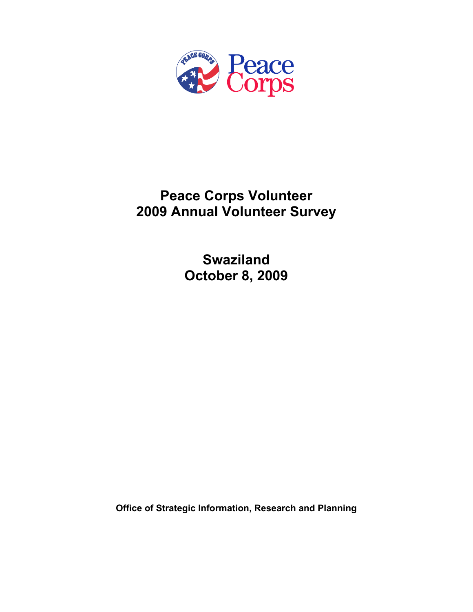

# **Peace Corps Volunteer 2009 Annual Volunteer Survey**

**Swaziland October 8, 2009** 

**Office of Strategic Information, Research and Planning**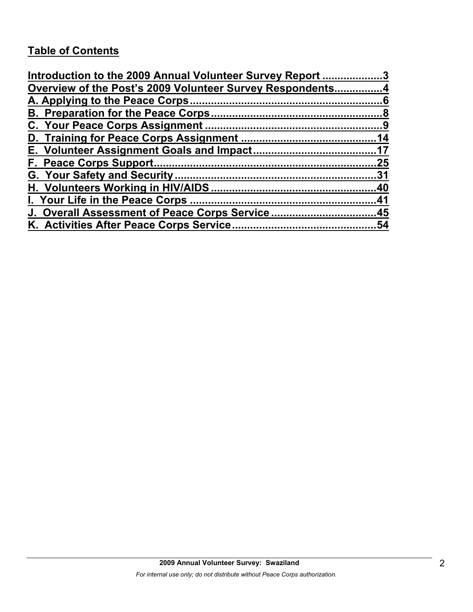# **Table of Contents**

| Introduction to the 2009 Annual Volunteer Survey Report 3 |     |
|-----------------------------------------------------------|-----|
| Overview of the Post's 2009 Volunteer Survey Respondents4 |     |
|                                                           |     |
|                                                           |     |
|                                                           |     |
|                                                           |     |
|                                                           |     |
|                                                           | .25 |
|                                                           |     |
|                                                           |     |
|                                                           |     |
| J. Overall Assessment of Peace Corps Service45            |     |
|                                                           | .54 |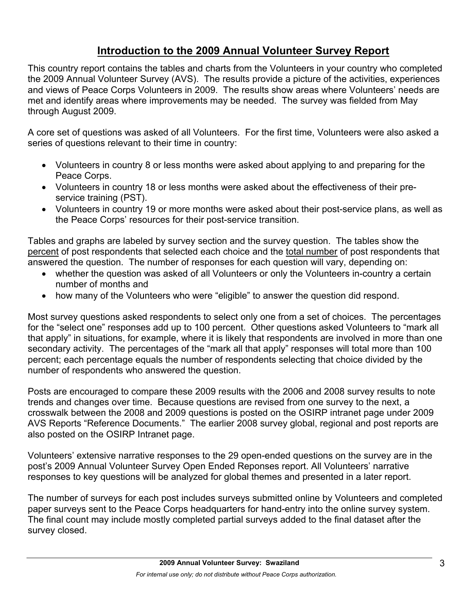# **Introduction to the 2009 Annual Volunteer Survey Report**

This country report contains the tables and charts from the Volunteers in your country who completed the 2009 Annual Volunteer Survey (AVS). The results provide a picture of the activities, experiences and views of Peace Corps Volunteers in 2009. The results show areas where Volunteers' needs are met and identify areas where improvements may be needed. The survey was fielded from May through August 2009.

A core set of questions was asked of all Volunteers. For the first time, Volunteers were also asked a series of questions relevant to their time in country:

- Volunteers in country 8 or less months were asked about applying to and preparing for the Peace Corps.
- Volunteers in country 18 or less months were asked about the effectiveness of their preservice training (PST).
- Volunteers in country 19 or more months were asked about their post-service plans, as well as the Peace Corps' resources for their post-service transition.

Tables and graphs are labeled by survey section and the survey question. The tables show the percent of post respondents that selected each choice and the total number of post respondents that answered the question. The number of responses for each question will vary, depending on:

- whether the question was asked of all Volunteers or only the Volunteers in-country a certain number of months and
- how many of the Volunteers who were "eligible" to answer the question did respond.

Most survey questions asked respondents to select only one from a set of choices. The percentages for the "select one" responses add up to 100 percent. Other questions asked Volunteers to "mark all that apply" in situations, for example, where it is likely that respondents are involved in more than one secondary activity. The percentages of the "mark all that apply" responses will total more than 100 percent; each percentage equals the number of respondents selecting that choice divided by the number of respondents who answered the question.

Posts are encouraged to compare these 2009 results with the 2006 and 2008 survey results to note trends and changes over time. Because questions are revised from one survey to the next, a crosswalk between the 2008 and 2009 questions is posted on the OSIRP intranet page under 2009 AVS Reports "Reference Documents." The earlier 2008 survey global, regional and post reports are also posted on the OSIRP Intranet page.

Volunteers' extensive narrative responses to the 29 open-ended questions on the survey are in the post's 2009 Annual Volunteer Survey Open Ended Reponses report. All Volunteers' narrative responses to key questions will be analyzed for global themes and presented in a later report.

The number of surveys for each post includes surveys submitted online by Volunteers and completed paper surveys sent to the Peace Corps headquarters for hand-entry into the online survey system. The final count may include mostly completed partial surveys added to the final dataset after the survey closed.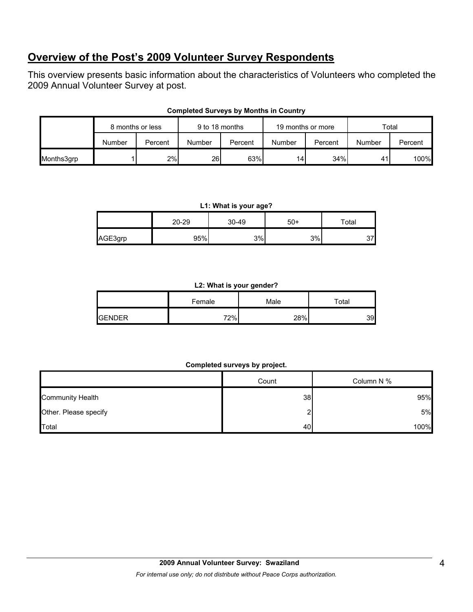# **Overview of the Post's 2009 Volunteer Survey Respondents**

This overview presents basic information about the characteristics of Volunteers who completed the 2009 Annual Volunteer Survey at post.

|            |        |         |        | 9 to 18 months<br>19 months or more<br>8 months or less |                 |         | Total  |         |
|------------|--------|---------|--------|---------------------------------------------------------|-----------------|---------|--------|---------|
|            | Number | Percent | Number | Percent                                                 | Number          | Percent | Number | Percent |
| Months3grp |        | 2%      | 26I    | 63%                                                     | 14 <sub>1</sub> | 34%     | 41     | 100%    |

## **Completed Surveys by Months in Country**

#### **L1: What is your age?**

|         | 20-29 | 30-49 | $50+$ | $\tau$ otal |
|---------|-------|-------|-------|-------------|
| AGE3grp | 95%   | 3%    | 3%    | ידי<br>ັ    |

#### **L2: What is your gender?**

|                | Female | Male | ™otal |  |
|----------------|--------|------|-------|--|
| <b>IGENDER</b> | 72%    | 28%  | 39    |  |

#### **Completed surveys by project.**

|                         | Count | Column N % |
|-------------------------|-------|------------|
| <b>Community Health</b> | 38    | 95%        |
| Other. Please specify   |       | 5%         |
| Total                   | 40    | 100%       |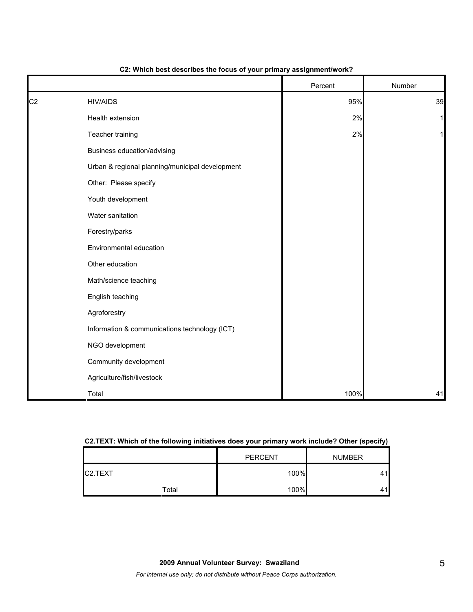|                |                                                 | Percent | Number       |
|----------------|-------------------------------------------------|---------|--------------|
| C <sub>2</sub> | <b>HIV/AIDS</b>                                 | 95%     | 39           |
|                | Health extension                                | 2%      | $\mathbf{1}$ |
|                | Teacher training                                | 2%      | $\mathbf{1}$ |
|                | Business education/advising                     |         |              |
|                | Urban & regional planning/municipal development |         |              |
|                | Other: Please specify                           |         |              |
|                | Youth development                               |         |              |
|                | Water sanitation                                |         |              |
|                | Forestry/parks                                  |         |              |
|                | Environmental education                         |         |              |
|                | Other education                                 |         |              |
|                | Math/science teaching                           |         |              |
|                | English teaching                                |         |              |
|                | Agroforestry                                    |         |              |
|                | Information & communications technology (ICT)   |         |              |
|                | NGO development                                 |         |              |
|                | Community development                           |         |              |
|                | Agriculture/fish/livestock                      |         |              |
|                | Total                                           | 100%    | 41           |

#### **C2: Which best describes the focus of your primary assignment/work?**

#### **C2.TEXT: Which of the following initiatives does your primary work include? Other (specify)**

|                      |       | <b>PERCENT</b> | <b>NUMBER</b> |
|----------------------|-------|----------------|---------------|
| C <sub>2</sub> .TEXT |       | 100%           |               |
|                      | Total | 100%           |               |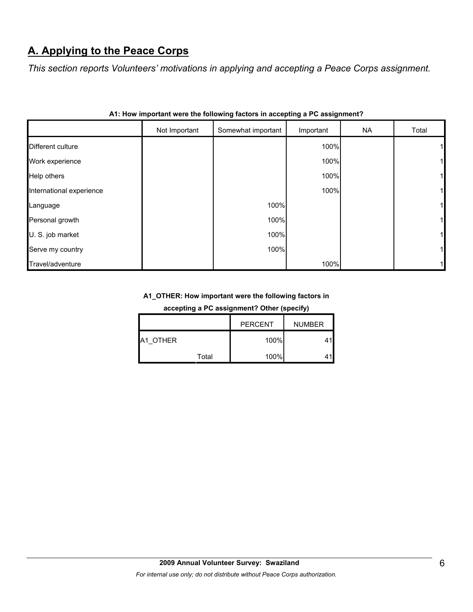# **A. Applying to the Peace Corps**

*This section reports Volunteers' motivations in applying and accepting a Peace Corps assignment.* 

|                          | Not Important | Somewhat important | Important | <b>NA</b> | Total |
|--------------------------|---------------|--------------------|-----------|-----------|-------|
| Different culture        |               |                    | 100%      |           |       |
| Work experience          |               |                    | 100%      |           |       |
| Help others              |               |                    | 100%      |           |       |
| International experience |               |                    | 100%      |           |       |
| Language                 |               | 100%               |           |           |       |
| Personal growth          |               | 100%               |           |           |       |
| U. S. job market         |               | 100%               |           |           |       |
| Serve my country         |               | 100%               |           |           |       |
| Travel/adventure         |               |                    | 100%      |           |       |

|  |  |  | A1: How important were the following factors in accepting a PC assignment? |  |
|--|--|--|----------------------------------------------------------------------------|--|
|  |  |  |                                                                            |  |

# **A1\_OTHER: How important were the following factors in**

**accepting a PC assignment? Other (specify)**

|          |       | <b>PERCENT</b> | <b>NUMBER</b> |
|----------|-------|----------------|---------------|
| A1 OTHER |       | 100%           |               |
|          | Total | 100%           |               |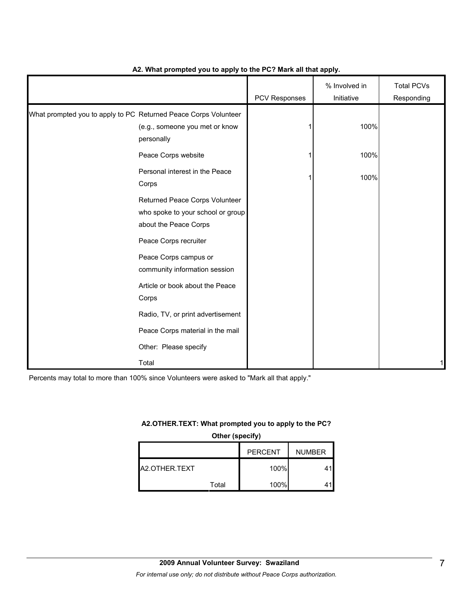|                                                                 |                                                                                              | PCV Responses | % Involved in<br>Initiative | <b>Total PCVs</b><br>Responding |
|-----------------------------------------------------------------|----------------------------------------------------------------------------------------------|---------------|-----------------------------|---------------------------------|
| What prompted you to apply to PC Returned Peace Corps Volunteer | (e.g., someone you met or know<br>personally                                                 |               | 100%                        |                                 |
|                                                                 | Peace Corps website                                                                          |               | 100%                        |                                 |
|                                                                 | Personal interest in the Peace<br>Corps                                                      |               | 100%                        |                                 |
|                                                                 | Returned Peace Corps Volunteer<br>who spoke to your school or group<br>about the Peace Corps |               |                             |                                 |
|                                                                 | Peace Corps recruiter                                                                        |               |                             |                                 |
|                                                                 | Peace Corps campus or<br>community information session                                       |               |                             |                                 |
|                                                                 | Article or book about the Peace<br>Corps                                                     |               |                             |                                 |
|                                                                 | Radio, TV, or print advertisement                                                            |               |                             |                                 |
|                                                                 | Peace Corps material in the mail                                                             |               |                             |                                 |
|                                                                 | Other: Please specify                                                                        |               |                             |                                 |
|                                                                 | Total                                                                                        |               |                             | 1                               |

#### **A2. What prompted you to apply to the PC? Mark all that apply.**

Percents may total to more than 100% since Volunteers were asked to "Mark all that apply."

#### **A2.OTHER.TEXT: What prompted you to apply to the PC?**

**Other (specify)**

|               |       | <b>PERCENT</b> | <b>NUMBER</b> |
|---------------|-------|----------------|---------------|
| A2.OTHER.TEXT |       | 100%           |               |
|               | Total | 100%           |               |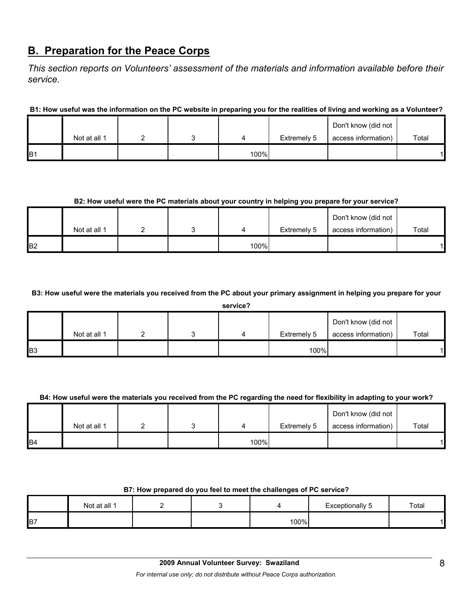# **B. Preparation for the Peace Corps**

*This section reports on Volunteers' assessment of the materials and information available before their service.* 

**B1: How useful was the information on the PC website in preparing you for the realities of living and working as a Volunteer?**

|                |              |  |      |             | Don't know (did not |       |
|----------------|--------------|--|------|-------------|---------------------|-------|
|                | Not at all 1 |  |      | Extremely 5 | access information) | Total |
| B <sub>1</sub> |              |  | 100% |             |                     |       |

#### **B2: How useful were the PC materials about your country in helping you prepare for your service?**

|                |              |  |      |             | Don't know (did not |       |
|----------------|--------------|--|------|-------------|---------------------|-------|
|                | Not at all 1 |  |      | Extremely 5 | access information) | Total |
| B <sub>2</sub> |              |  | 100% |             |                     |       |

**B3: How useful were the materials you received from the PC about your primary assignment in helping you prepare for your** 

**service?**

|            | Not at all 1 |  | $\Delta$ | Extremely 5 | Don't know (did not<br>access information) | Total |
|------------|--------------|--|----------|-------------|--------------------------------------------|-------|
| <b>B</b> 3 |              |  |          | 100%        |                                            |       |

#### **B4: How useful were the materials you received from the PC regarding the need for flexibility in adapting to your work?**

|                |              |  |      |             | Don't know (did not |       |
|----------------|--------------|--|------|-------------|---------------------|-------|
|                | Not at all 1 |  |      | Extremely 5 | access information) | Total |
| B <sub>4</sub> |              |  | 100% |             |                     |       |

#### **B7: How prepared do you feel to meet the challenges of PC service?**

|    | Not at all 1 |  |      | Exceptionally 5 | Total |
|----|--------------|--|------|-----------------|-------|
| B7 |              |  | 100% |                 |       |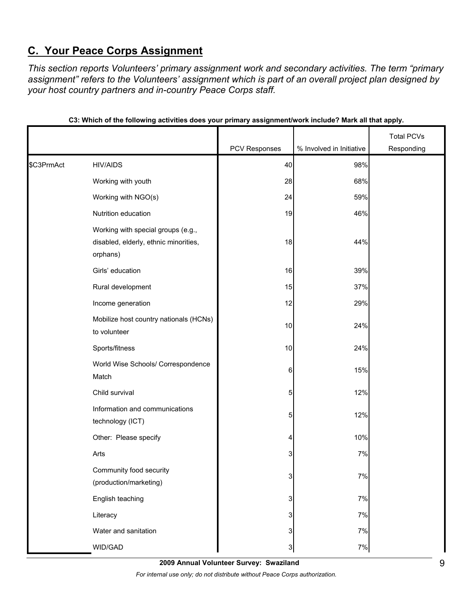# **C. Your Peace Corps Assignment**

*This section reports Volunteers' primary assignment work and secondary activities. The term "primary assignment" refers to the Volunteers' assignment which is part of an overall project plan designed by your host country partners and in-country Peace Corps staff.* 

|            |                                                                                         |               |                          | <b>Total PCVs</b> |
|------------|-----------------------------------------------------------------------------------------|---------------|--------------------------|-------------------|
|            |                                                                                         | PCV Responses | % Involved in Initiative | Responding        |
| \$C3PrmAct | <b>HIV/AIDS</b>                                                                         | 40            | 98%                      |                   |
|            | Working with youth                                                                      | 28            | 68%                      |                   |
|            | Working with NGO(s)                                                                     | 24            | 59%                      |                   |
|            | Nutrition education                                                                     | 19            | 46%                      |                   |
|            | Working with special groups (e.g.,<br>disabled, elderly, ethnic minorities,<br>orphans) | 18            | 44%                      |                   |
|            | Girls' education                                                                        | 16            | 39%                      |                   |
|            | Rural development                                                                       | 15            | 37%                      |                   |
|            | Income generation                                                                       | 12            | 29%                      |                   |
|            | Mobilize host country nationals (HCNs)<br>to volunteer                                  | 10            | 24%                      |                   |
|            | Sports/fitness                                                                          | 10            | 24%                      |                   |
|            | World Wise Schools/ Correspondence<br>Match                                             | 6             | 15%                      |                   |
|            | Child survival                                                                          | 5             | 12%                      |                   |
|            | Information and communications<br>technology (ICT)                                      | 5             | 12%                      |                   |
|            | Other: Please specify                                                                   | 4             | 10%                      |                   |
|            | Arts                                                                                    | 3             | 7%                       |                   |
|            | Community food security<br>(production/marketing)                                       | 3             | 7%                       |                   |
|            | English teaching                                                                        | 3             | $7\%$                    |                   |
|            | Literacy                                                                                | 3             | 7%                       |                   |
|            | Water and sanitation                                                                    | 3             | $7\%$                    |                   |
|            | WID/GAD                                                                                 | 3             | 7%                       |                   |

| C3: Which of the following activities does your primary assignment/work include? Mark all that apply. |  |  |  |
|-------------------------------------------------------------------------------------------------------|--|--|--|
|                                                                                                       |  |  |  |

**2009 Annual Volunteer Survey: Swaziland** 

*For internal use only; do not distribute without Peace Corps authorization.*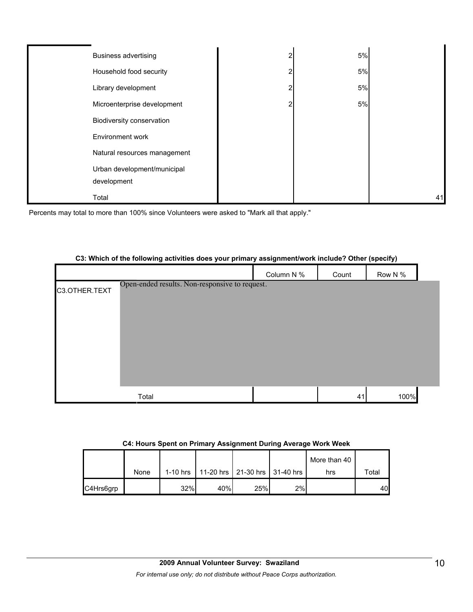| <b>Business advertising</b>  | 2 | 5% |    |
|------------------------------|---|----|----|
| Household food security      | 2 | 5% |    |
| Library development          | ົ | 5% |    |
| Microenterprise development  | 2 | 5% |    |
| Biodiversity conservation    |   |    |    |
| Environment work             |   |    |    |
| Natural resources management |   |    |    |
| Urban development/municipal  |   |    |    |
| development                  |   |    |    |
| Total                        |   |    | 41 |

Percents may total to more than 100% since Volunteers were asked to "Mark all that apply."

#### **C3: Which of the following activities does your primary assignment/work include? Other (specify)**

|               |                                                | Column N % | Count | Row N % |  |
|---------------|------------------------------------------------|------------|-------|---------|--|
| C3.OTHER.TEXT | Open-ended results. Non-responsive to request. |            |       |         |  |
|               |                                                |            |       |         |  |
|               |                                                |            |       |         |  |
|               |                                                |            |       |         |  |
|               |                                                |            |       |         |  |
|               |                                                |            |       |         |  |
|               |                                                |            |       |         |  |
|               | Total                                          |            | 41    | 100%    |  |

#### **C4: Hours Spent on Primary Assignment During Average Work Week**

|           |      |     |     |                                              |    | More than 40 |       |
|-----------|------|-----|-----|----------------------------------------------|----|--------------|-------|
|           | None |     |     | 1-10 hrs   11-20 hrs   21-30 hrs   31-40 hrs |    | hrs          | Total |
| C4Hrs6grp |      | 32% | 40% | 25%                                          | 2% |              | 40    |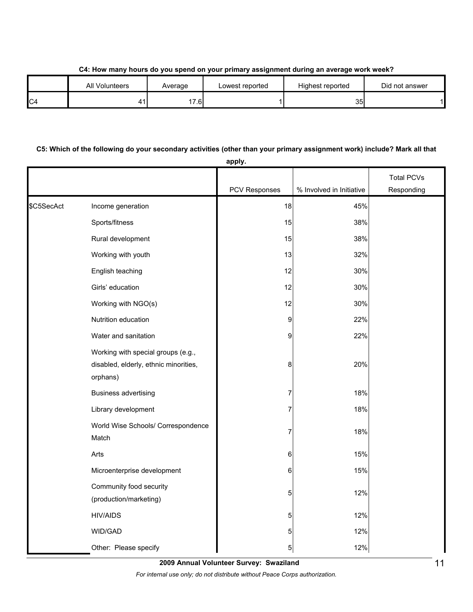**C4: How many hours do you spend on your primary assignment during an average work week?**

|                | <b>All Volunteers</b> | Average | Lowest reported | Highest reported | Did not answer |
|----------------|-----------------------|---------|-----------------|------------------|----------------|
| C <sub>4</sub> |                       | 17.6    |                 | 35I              |                |

## **C5: Which of the following do your secondary activities (other than your primary assignment work) include? Mark all that**

|            |                                                                                         | apply.        |                          |                   |
|------------|-----------------------------------------------------------------------------------------|---------------|--------------------------|-------------------|
|            |                                                                                         |               |                          | <b>Total PCVs</b> |
|            |                                                                                         | PCV Responses | % Involved in Initiative | Responding        |
| \$C5SecAct | Income generation                                                                       | 18            | 45%                      |                   |
|            | Sports/fitness                                                                          | 15            | 38%                      |                   |
|            | Rural development                                                                       | 15            | 38%                      |                   |
|            | Working with youth                                                                      | 13            | 32%                      |                   |
|            | English teaching                                                                        | 12            | 30%                      |                   |
|            | Girls' education                                                                        | 12            | 30%                      |                   |
|            | Working with NGO(s)                                                                     | 12            | 30%                      |                   |
|            | Nutrition education                                                                     | 9             | 22%                      |                   |
|            | Water and sanitation                                                                    | 9             | 22%                      |                   |
|            | Working with special groups (e.g.,<br>disabled, elderly, ethnic minorities,<br>orphans) | 8             | 20%                      |                   |
|            | <b>Business advertising</b>                                                             | 7             | 18%                      |                   |
|            | Library development                                                                     | 7             | 18%                      |                   |
|            | World Wise Schools/ Correspondence<br>Match                                             | 7             | 18%                      |                   |
|            | Arts                                                                                    | 6             | 15%                      |                   |
|            | Microenterprise development                                                             | 6             | 15%                      |                   |
|            | Community food security<br>(production/marketing)                                       | 5             | 12%                      |                   |
|            | <b>HIV/AIDS</b>                                                                         | 5             | 12%                      |                   |
|            | WID/GAD                                                                                 | 5             | 12%                      |                   |
|            | Other: Please specify                                                                   | 5             | 12%                      |                   |

**2009 Annual Volunteer Survey: Swaziland** 

*For internal use only; do not distribute without Peace Corps authorization.*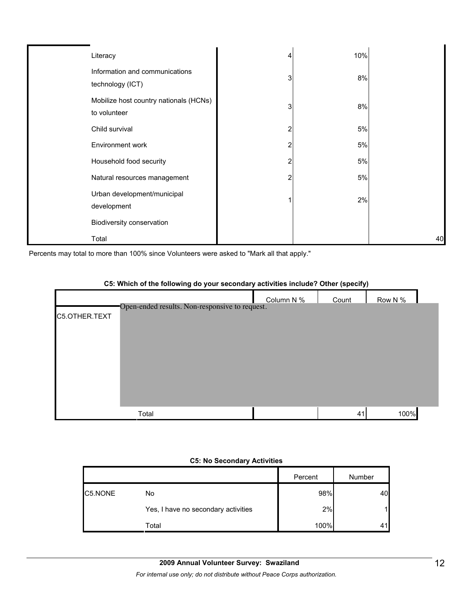| Literacy                                               | 4 | 10%   |    |
|--------------------------------------------------------|---|-------|----|
| Information and communications<br>technology (ICT)     | 3 | 8%    |    |
| Mobilize host country nationals (HCNs)<br>to volunteer | 3 | 8%    |    |
| Child survival                                         | 2 | 5%    |    |
| Environment work                                       | 2 | $5%$  |    |
| Household food security                                | 2 | $5\%$ |    |
| Natural resources management                           | 2 | 5%    |    |
| Urban development/municipal<br>development             |   | 2%    |    |
| Biodiversity conservation                              |   |       |    |
| Total                                                  |   |       | 40 |

Percents may total to more than 100% since Volunteers were asked to "Mark all that apply."

# Column  $N\%$   $\Box$  Count Row  $N\%$ C5.OTHER.TEXT Total 41 100% Open-ended results. Non-responsive to request.

#### **C5: Which of the following do your secondary activities include? Other (specify)**

#### **C5: No Secondary Activities**

|         |                                     | Percent | Number |
|---------|-------------------------------------|---------|--------|
| C5.NONE | No                                  | 98%     | 40     |
|         | Yes, I have no secondary activities | 2%      |        |
|         | Total                               | 100%    |        |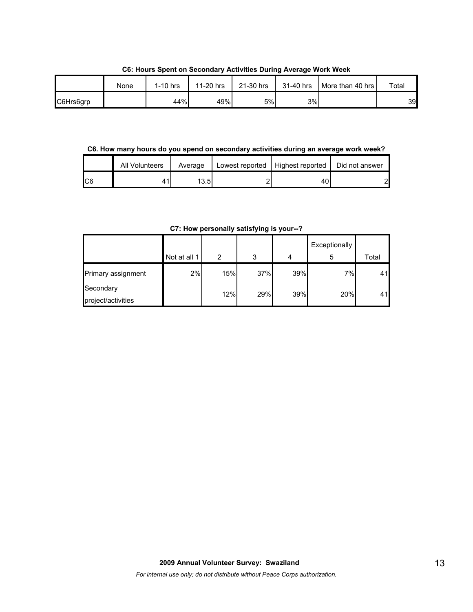**C6: Hours Spent on Secondary Activities During Average Work Week**

|           | None | $1-10$ hrs | 11-20 hrs | 21-30 hrs | 31-40 hrs | More than 40 hrs | Total |
|-----------|------|------------|-----------|-----------|-----------|------------------|-------|
| C6Hrs6grp |      | 44%        | 49%       | 5%l       | 3%        |                  | 39    |

**C6. How many hours do you spend on secondary activities during an average work week?**

|     | All Volunteers | Average | Lowest reported   Highest reported | Did not answer |
|-----|----------------|---------|------------------------------------|----------------|
| IC6 |                | 13.5I   | 40                                 |                |

**C7: How personally satisfying is your--?**

|                                 | Not at all 1 | 2   | 3   | 4   | Exceptionally<br>5 | Total |
|---------------------------------|--------------|-----|-----|-----|--------------------|-------|
| Primary assignment              | 2%           | 15% | 37% | 39% | 7%                 | 41    |
| Secondary<br>project/activities |              | 12% | 29% | 39% | 20%                | 41    |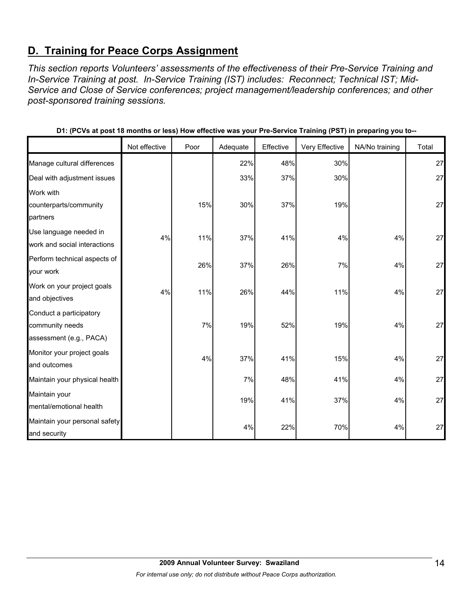# **D. Training for Peace Corps Assignment**

*This section reports Volunteers' assessments of the effectiveness of their Pre-Service Training and In-Service Training at post. In-Service Training (IST) includes: Reconnect; Technical IST; Mid-Service and Close of Service conferences; project management/leadership conferences; and other post-sponsored training sessions.* 

|                               | Not effective | Poor | Adequate | Effective | Very Effective | NA/No training | Total |
|-------------------------------|---------------|------|----------|-----------|----------------|----------------|-------|
| Manage cultural differences   |               |      | 22%      | 48%       | 30%            |                | 27    |
| Deal with adjustment issues   |               |      | 33%      | 37%       | 30%            |                | 27    |
| Work with                     |               |      |          |           |                |                |       |
| counterparts/community        |               | 15%  | 30%      | 37%       | 19%            |                | 27    |
| partners                      |               |      |          |           |                |                |       |
| Use language needed in        | 4%            | 11%  | 37%      | 41%       | 4%             | 4%             | 27    |
| work and social interactions  |               |      |          |           |                |                |       |
| Perform technical aspects of  |               | 26%  | 37%      | 26%       | 7%             | 4%             | 27    |
| your work                     |               |      |          |           |                |                |       |
| Work on your project goals    | 4%            | 11%  | 26%      | 44%       | 11%            | 4%             | 27    |
| and objectives                |               |      |          |           |                |                |       |
| Conduct a participatory       |               |      |          |           |                |                |       |
| community needs               |               | 7%   | 19%      | 52%       | 19%            | 4%             | 27    |
| assessment (e.g., PACA)       |               |      |          |           |                |                |       |
| Monitor your project goals    |               | 4%   | 37%      | 41%       | 15%            | 4%             | 27    |
| and outcomes                  |               |      |          |           |                |                |       |
| Maintain your physical health |               |      | 7%       | 48%       | 41%            | 4%             | 27    |
| Maintain your                 |               |      | 19%      | 41%       | 37%            | 4%             | 27    |
| mental/emotional health       |               |      |          |           |                |                |       |
| Maintain your personal safety |               |      |          |           |                |                |       |
| and security                  |               |      | 4%       | 22%       | 70%            | 4%             | 27    |

**D1: (PCVs at post 18 months or less) How effective was your Pre-Service Training (PST) in preparing you to--**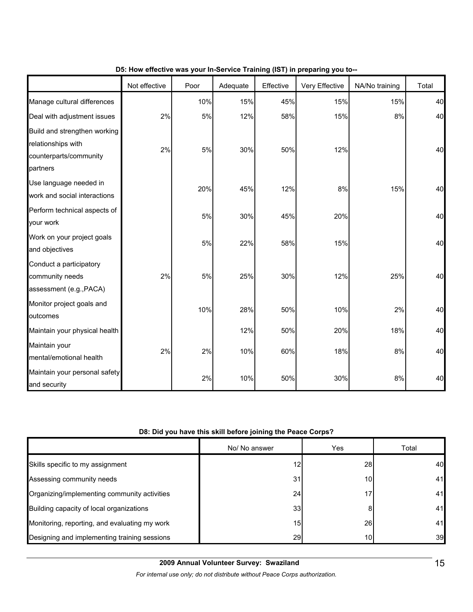|                                                                                          | Not effective | Poor | Adequate | Effective | Very Effective | NA/No training | Total |
|------------------------------------------------------------------------------------------|---------------|------|----------|-----------|----------------|----------------|-------|
| Manage cultural differences                                                              |               | 10%  | 15%      | 45%       | 15%            | 15%            | 40    |
| Deal with adjustment issues                                                              | 2%            | 5%   | 12%      | 58%       | 15%            | 8%             | 40    |
| Build and strengthen working<br>relationships with<br>counterparts/community<br>partners | 2%            | 5%   | 30%      | 50%       | 12%            |                | 40    |
| Use language needed in<br>work and social interactions                                   |               | 20%  | 45%      | 12%       | 8%             | 15%            | 40    |
| Perform technical aspects of<br>your work                                                |               | 5%   | 30%      | 45%       | 20%            |                | 40    |
| Work on your project goals<br>and objectives                                             |               | 5%   | 22%      | 58%       | 15%            |                | 40    |
| Conduct a participatory<br>community needs<br>assessment (e.g., PACA)                    | 2%            | 5%   | 25%      | 30%       | 12%            | 25%            | 40    |
| Monitor project goals and<br>outcomes                                                    |               | 10%  | 28%      | 50%       | 10%            | 2%             | 40    |
| Maintain your physical health                                                            |               |      | 12%      | 50%       | 20%            | 18%            | 40    |
| Maintain your<br>mental/emotional health                                                 | 2%            | 2%   | 10%      | 60%       | 18%            | 8%             | 40    |
| Maintain your personal safety<br>and security                                            |               | 2%   | 10%      | 50%       | 30%            | 8%             | 40    |

## **D5: How effective was your In-Service Training (IST) in preparing you to--**

### **D8: Did you have this skill before joining the Peace Corps?**

|                                               | No/ No answer   | Yes       | Total |
|-----------------------------------------------|-----------------|-----------|-------|
| Skills specific to my assignment              | 12              | <b>28</b> | 40    |
| Assessing community needs                     | 31              | 10        | 41    |
| Organizing/implementing community activities  | 24              | 17        | 41    |
| Building capacity of local organizations      | 33              |           | 41    |
| Monitoring, reporting, and evaluating my work | 15 <sub>1</sub> | 26        | 41    |
| Designing and implementing training sessions  | 29              | 10        | 39    |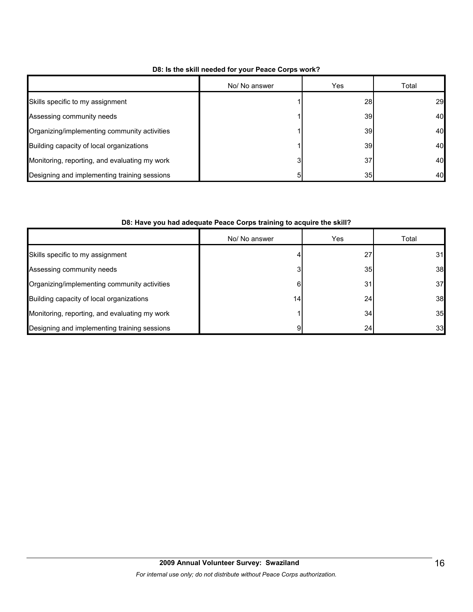|                                               | No/ No answer | <b>Yes</b>      | Total |
|-----------------------------------------------|---------------|-----------------|-------|
| Skills specific to my assignment              |               | <b>28</b>       | 29    |
| Assessing community needs                     |               | <b>39</b>       | 40    |
| Organizing/implementing community activities  |               | <b>39</b>       | 40    |
| Building capacity of local organizations      |               | <b>39</b>       | 40    |
| Monitoring, reporting, and evaluating my work |               | 37              | 40    |
| Designing and implementing training sessions  |               | 35 <sub>l</sub> | 40    |

#### **D8: Is the skill needed for your Peace Corps work?**

#### **D8: Have you had adequate Peace Corps training to acquire the skill?**

|                                               | No/ No answer | Yes | Total |
|-----------------------------------------------|---------------|-----|-------|
| Skills specific to my assignment              |               | 27  | 31    |
| Assessing community needs                     | 3             | 35  | 38    |
| Organizing/implementing community activities  | 6             | 31  | 37    |
| Building capacity of local organizations      | 14.           | 24  | 38    |
| Monitoring, reporting, and evaluating my work |               | 34  | 35    |
| Designing and implementing training sessions  |               | 24  | 33    |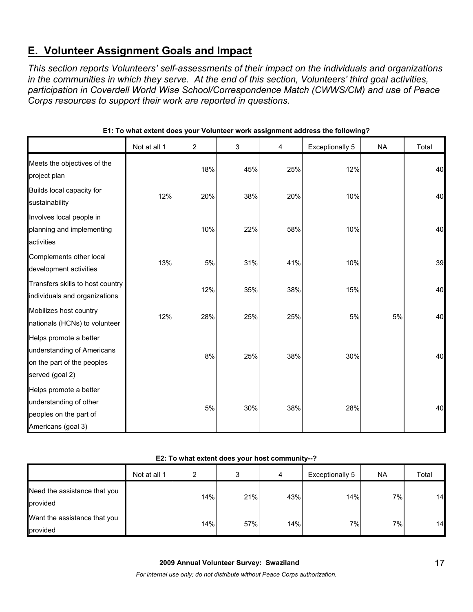# **E. Volunteer Assignment Goals and Impact**

*This section reports Volunteers' self-assessments of their impact on the individuals and organizations in the communities in which they serve. At the end of this section, Volunteers' third goal activities, participation in Coverdell World Wise School/Correspondence Match (CWWS/CM) and use of Peace Corps resources to support their work are reported in questions.* 

|                                                                                                       | Not at all 1 | $\overline{2}$ | 3   | 4   | <b>Exceptionally 5</b> | <b>NA</b> | Total |
|-------------------------------------------------------------------------------------------------------|--------------|----------------|-----|-----|------------------------|-----------|-------|
| Meets the objectives of the<br>project plan                                                           |              | 18%            | 45% | 25% | 12%                    |           | 40    |
| Builds local capacity for<br>sustainability                                                           | 12%          | 20%            | 38% | 20% | 10%                    |           | 40    |
| Involves local people in<br>planning and implementing<br>activities                                   |              | 10%            | 22% | 58% | 10%                    |           | 40    |
| Complements other local<br>development activities                                                     | 13%          | 5%             | 31% | 41% | 10%                    |           | 39    |
| Transfers skills to host country<br>individuals and organizations                                     |              | 12%            | 35% | 38% | 15%                    |           | 40    |
| Mobilizes host country<br>nationals (HCNs) to volunteer                                               | 12%          | 28%            | 25% | 25% | 5%                     | 5%        | 40    |
| Helps promote a better<br>understanding of Americans<br>on the part of the peoples<br>served (goal 2) |              | 8%             | 25% | 38% | 30%                    |           | 40    |
| Helps promote a better<br>understanding of other<br>peoples on the part of<br>Americans (goal 3)      |              | 5%             | 30% | 38% | 28%                    |           | 40    |

#### **E1: To what extent does your Volunteer work assignment address the following?**

**E2: To what extent does your host community--?**

|                                          | Not at all 1 | ົ   | 3   | 4   | Exceptionally 5 | <b>NA</b> | Total |
|------------------------------------------|--------------|-----|-----|-----|-----------------|-----------|-------|
| Need the assistance that you<br>provided |              | 14% | 21% | 43% | 14%             | 7%        | 14    |
| Want the assistance that you<br>provided |              | 14% | 57% | 14% | 7%              | 7%        | 14    |

*For internal use only; do not distribute without Peace Corps authorization.*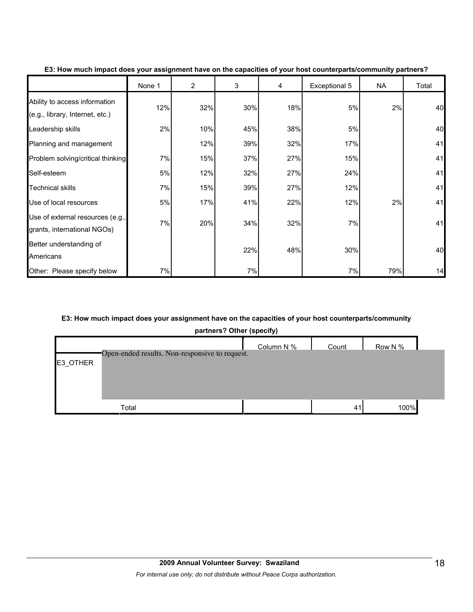|                                                                  | None 1 | $\overline{2}$ | 3   | 4   | Exceptional 5 | NA  | Total |
|------------------------------------------------------------------|--------|----------------|-----|-----|---------------|-----|-------|
| Ability to access information<br>(e.g., library, Internet, etc.) | 12%    | 32%            | 30% | 18% | 5%            | 2%  | 40    |
| Leadership skills                                                | 2%     | 10%            | 45% | 38% | 5%            |     | 40    |
| Planning and management                                          |        | 12%            | 39% | 32% | 17%           |     | 41    |
| Problem solving/critical thinking                                | 7%     | 15%            | 37% | 27% | 15%           |     | 41    |
| Self-esteem                                                      | 5%     | 12%            | 32% | 27% | 24%           |     | 41    |
| <b>Technical skills</b>                                          | 7%     | 15%            | 39% | 27% | 12%           |     | 41    |
| Use of local resources                                           | 5%     | 17%            | 41% | 22% | 12%           | 2%  | 41    |
| Use of external resources (e.g.,<br>grants, international NGOs)  | 7%     | 20%            | 34% | 32% | 7%            |     | 41    |
| Better understanding of<br>Americans                             |        |                | 22% | 48% | 30%           |     | 40    |
| Other: Please specify below                                      | 7%     |                | 7%  |     | 7%            | 79% | 14    |

**E3: How much impact does your assignment have on the capacities of your host counterparts/community partners?**

## **E3: How much impact does your assignment have on the capacities of your host counterparts/community**

**partners? Other (specify)**

|          |                                                | Column N % | Count | Row N % |
|----------|------------------------------------------------|------------|-------|---------|
| E3_OTHER | Open-ended results. Non-responsive to request. |            |       |         |
|          |                                                |            |       |         |
|          |                                                |            |       |         |
|          |                                                |            |       |         |
|          | Total                                          |            | 41    | 100%    |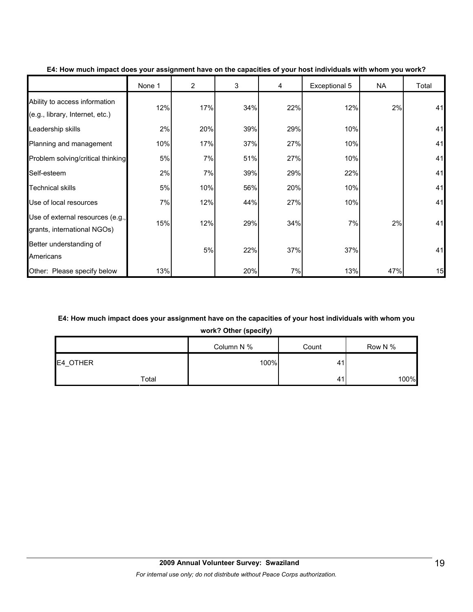|                                                                  | None 1 | $\overline{2}$ | 3   | 4   | Exceptional 5 | <b>NA</b> | Total |
|------------------------------------------------------------------|--------|----------------|-----|-----|---------------|-----------|-------|
| Ability to access information<br>(e.g., library, Internet, etc.) | 12%    | 17%            | 34% | 22% | 12%           | 2%        | 41    |
| Leadership skills                                                | 2%     | 20%            | 39% | 29% | 10%           |           | 41    |
| Planning and management                                          | 10%    | 17%            | 37% | 27% | 10%           |           | 41    |
| Problem solving/critical thinking                                | 5%     | 7%             | 51% | 27% | 10%           |           | 41    |
| Self-esteem                                                      | 2%     | 7%             | 39% | 29% | 22%           |           | 41    |
| <b>Technical skills</b>                                          | 5%     | 10%            | 56% | 20% | 10%           |           | 41    |
| Use of local resources                                           | 7%     | 12%            | 44% | 27% | 10%           |           | 41    |
| Use of external resources (e.g.,<br>grants, international NGOs)  | 15%    | 12%            | 29% | 34% | 7%            | 2%        | 41    |
| Better understanding of<br>Americans                             |        | 5%             | 22% | 37% | 37%           |           | 41    |
| Other: Please specify below                                      | 13%    |                | 20% | 7%  | 13%           | 47%       | 15    |

#### **E4: How much impact does your assignment have on the capacities of your host individuals with whom you work?**

## **E4: How much impact does your assignment have on the capacities of your host individuals with whom you**

**work? Other (specify)**

|          | Column N % | Count | Row N % |
|----------|------------|-------|---------|
| E4_OTHER | 100%       | -41   |         |
| Total    |            | 4     | 100%    |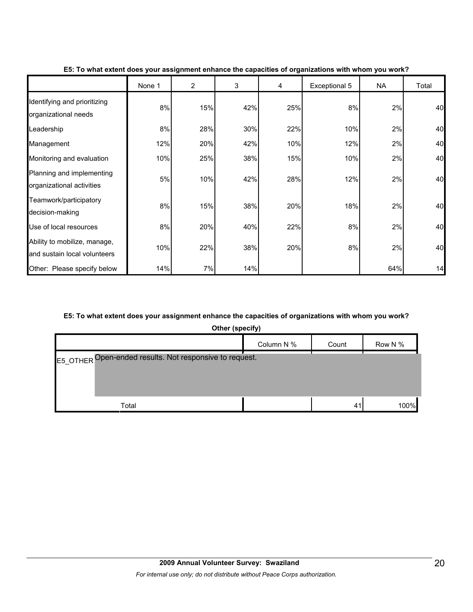|                                                              | None 1 | $\overline{2}$ | 3   | 4   | Exceptional 5 | <b>NA</b> | Total |
|--------------------------------------------------------------|--------|----------------|-----|-----|---------------|-----------|-------|
| Identifying and prioritizing<br>organizational needs         | 8%     | 15%            | 42% | 25% | 8%            | 2%        | 40    |
| Leadership                                                   | 8%     | 28%            | 30% | 22% | 10%           | 2%        | 40    |
| Management                                                   | 12%    | 20%            | 42% | 10% | 12%           | 2%        | 40    |
| Monitoring and evaluation                                    | 10%    | 25%            | 38% | 15% | 10%           | 2%        | 40    |
| Planning and implementing<br>organizational activities       | 5%     | 10%            | 42% | 28% | 12%           | 2%        | 40    |
| Teamwork/participatory<br>decision-making                    | 8%     | 15%            | 38% | 20% | 18%           | 2%        | 40    |
| Use of local resources                                       | 8%     | 20%            | 40% | 22% | 8%            | 2%        | 40    |
| Ability to mobilize, manage,<br>and sustain local volunteers | 10%    | 22%            | 38% | 20% | 8%            | 2%        | 40    |
| Other: Please specify below                                  | 14%    | 7%             | 14% |     |               | 64%       | 14    |

#### **E5: To what extent does your assignment enhance the capacities of organizations with whom you work?**

#### **E5: To what extent does your assignment enhance the capacities of organizations with whom you work?**

**Other (specify)**

|                                                         | Column N % | Count | Row N % |
|---------------------------------------------------------|------------|-------|---------|
| E5_OTHER Open-ended results. Not responsive to request. |            |       |         |
| Total                                                   |            | 41    | 100%    |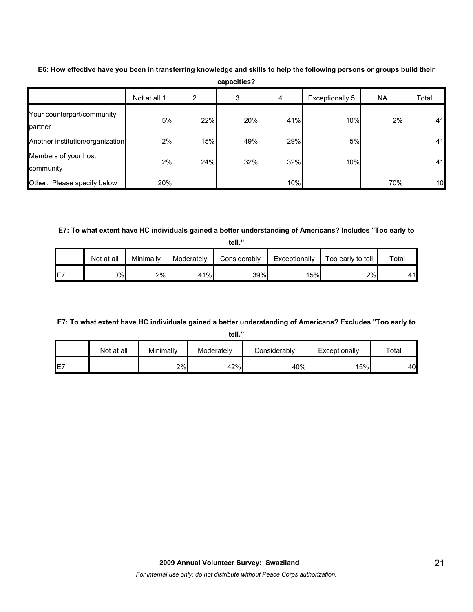|                                       | Not at all 1 | 2   | 3   | 4   | Exceptionally 5 | <b>NA</b> | Total |
|---------------------------------------|--------------|-----|-----|-----|-----------------|-----------|-------|
| Your counterpart/community<br>partner | 5%           | 22% | 20% | 41% | 10%             | 2%        | 41    |
| Another institution/organization      | 2%           | 15% | 49% | 29% | 5%              |           | 41    |
| Members of your host<br>community     | 2%           | 24% | 32% | 32% | 10%             |           | 41    |
| Other: Please specify below           | 20%          |     |     | 10% |                 | 70%       | 10    |

**E6: How effective have you been in transferring knowledge and skills to help the following persons or groups build their capacities?**

**E7: To what extent have HC individuals gained a better understanding of Americans? Includes "Too early to** 

**tell."**

|                 | Not at all | Minimally | Moderately | Considerablv | Exceptionally | Too early to tell | Total                |
|-----------------|------------|-----------|------------|--------------|---------------|-------------------|----------------------|
| IE <sub>7</sub> | 0%l        | 2%        | 41%        | 39%          | 15%           | 2%                | $\overline{11}$<br>⊶ |

## **E7: To what extent have HC individuals gained a better understanding of Americans? Excludes "Too early to**

**tell."**

|     | Not at all | Minimally | Moderately | <b>Considerably</b> | Exceptionally | $\tau$ otal |
|-----|------------|-----------|------------|---------------------|---------------|-------------|
| IE7 |            | 2%        | 42%        | 40%                 | 15%           | 40          |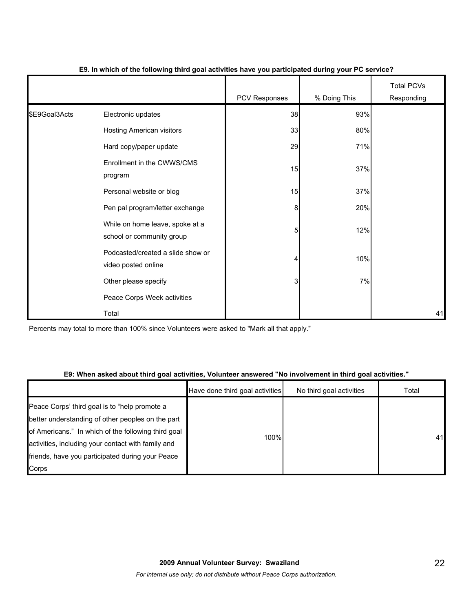|               |                                                              | <b>PCV Responses</b> | % Doing This | <b>Total PCVs</b><br>Responding |
|---------------|--------------------------------------------------------------|----------------------|--------------|---------------------------------|
| \$E9Goal3Acts | Electronic updates                                           | 38                   | 93%          |                                 |
|               | Hosting American visitors                                    | 33                   | 80%          |                                 |
|               | Hard copy/paper update                                       | 29                   | 71%          |                                 |
|               | Enrollment in the CWWS/CMS<br>program                        | 15                   | 37%          |                                 |
|               | Personal website or blog                                     | 15                   | 37%          |                                 |
|               | Pen pal program/letter exchange                              | 8                    | 20%          |                                 |
|               | While on home leave, spoke at a<br>school or community group | 5                    | 12%          |                                 |
|               | Podcasted/created a slide show or<br>video posted online     | 4                    | 10%          |                                 |
|               | Other please specify                                         | 3                    | 7%           |                                 |
|               | Peace Corps Week activities                                  |                      |              |                                 |
|               | Total                                                        |                      |              | 41                              |

#### **E9. In which of the following third goal activities have you participated during your PC service?**

Percents may total to more than 100% since Volunteers were asked to "Mark all that apply."

#### **E9: When asked about third goal activities, Volunteer answered "No involvement in third goal activities."**

|                                                                                                           | Have done third goal activities | No third goal activities | Total |
|-----------------------------------------------------------------------------------------------------------|---------------------------------|--------------------------|-------|
| Peace Corps' third goal is to "help promote a<br>better understanding of other peoples on the part        |                                 |                          |       |
| of Americans." In which of the following third goal<br>activities, including your contact with family and | 100%                            |                          | 41    |
| friends, have you participated during your Peace                                                          |                                 |                          |       |
| Corps                                                                                                     |                                 |                          |       |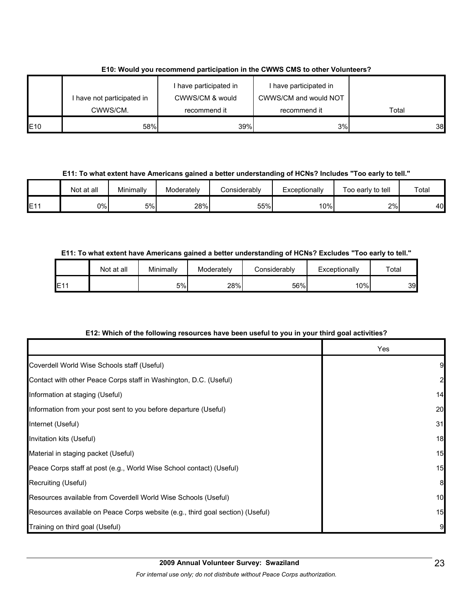|                 |                            | I have participated in | I have participated in |       |
|-----------------|----------------------------|------------------------|------------------------|-------|
|                 | I have not participated in | CWWS/CM & would        | CWWS/CM and would NOT  |       |
|                 | CWWS/CM.                   | recommend it           | recommend it           | Total |
| E <sub>10</sub> | 58%                        | 39%                    | 3%                     | 38    |

# **E10: Would you recommend participation in the CWWS CMS to other Volunteers?**

**E11: To what extent have Americans gained a better understanding of HCNs? Includes "Too early to tell."**

|                 | Not at all | Minimally | Moderately | Considerablv | Exceptionally | Too early to tell | Total |
|-----------------|------------|-----------|------------|--------------|---------------|-------------------|-------|
| E <sub>11</sub> | 0%l        | 5%        | 28%        | 55%          | 10%           | 2%                | 40    |

# **E11: To what extent have Americans gained a better understanding of HCNs? Excludes "Too early to tell."**

|     | Not at all | Minimally | Moderately | Considerablv | Exceptionally | $\tau$ otai |
|-----|------------|-----------|------------|--------------|---------------|-------------|
| E11 |            | 5%l       | 28%        | 56%          | 10%           | 39          |

# **E12: Which of the following resources have been useful to you in your third goal activities?**

|                                                                                | Yes          |
|--------------------------------------------------------------------------------|--------------|
| Coverdell World Wise Schools staff (Useful)                                    | 9            |
| Contact with other Peace Corps staff in Washington, D.C. (Useful)              | $\mathbf{2}$ |
| Information at staging (Useful)                                                | 14           |
| Information from your post sent to you before departure (Useful)               | 20           |
| Internet (Useful)                                                              | 31           |
| Invitation kits (Useful)                                                       | 18           |
| Material in staging packet (Useful)                                            | 15           |
| Peace Corps staff at post (e.g., World Wise School contact) (Useful)           | 15           |
| Recruiting (Useful)                                                            | 8            |
| Resources available from Coverdell World Wise Schools (Useful)                 | 10           |
| Resources available on Peace Corps website (e.g., third goal section) (Useful) | 15           |
| Training on third goal (Useful)                                                | 9            |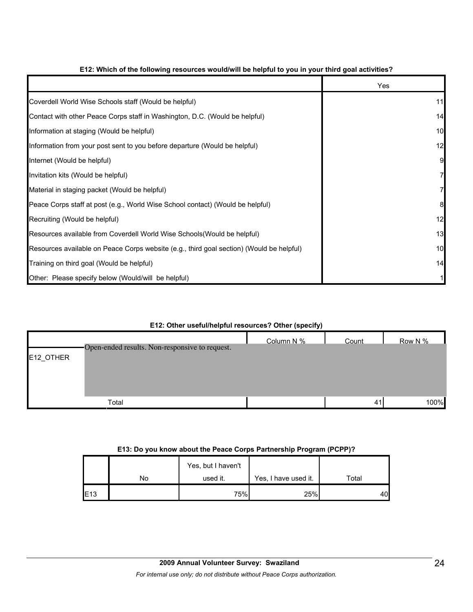|                                                                                          | Yes |
|------------------------------------------------------------------------------------------|-----|
| Coverdell World Wise Schools staff (Would be helpful)                                    | 11  |
| Contact with other Peace Corps staff in Washington, D.C. (Would be helpful)              | 14  |
| Information at staging (Would be helpful)                                                | 10  |
| Information from your post sent to you before departure (Would be helpful)               | 12  |
| Internet (Would be helpful)                                                              | 9   |
| Invitation kits (Would be helpful)                                                       |     |
| Material in staging packet (Would be helpful)                                            |     |
| Peace Corps staff at post (e.g., World Wise School contact) (Would be helpful)           | 8   |
| Recruiting (Would be helpful)                                                            | 12  |
| Resources available from Coverdell World Wise Schools (Would be helpful)                 | 13  |
| Resources available on Peace Corps website (e.g., third goal section) (Would be helpful) | 10  |
| Training on third goal (Would be helpful)                                                | 14  |
| Other: Please specify below (Would/will be helpful)                                      |     |

## **E12: Which of the following resources would/will be helpful to you in your third goal activities?**

#### **E12: Other useful/helpful resources? Other (specify)**

|           | Open-ended results. Non-responsive to request. | Column N % | Count | Row N % |
|-----------|------------------------------------------------|------------|-------|---------|
| E12_OTHER |                                                |            |       |         |
|           |                                                |            |       |         |
|           |                                                |            |       |         |
|           | Total                                          |            | 41    | 100%    |

#### **E13: Do you know about the Peace Corps Partnership Program (PCPP)?**

|     |    | Yes, but I haven't |                      |       |
|-----|----|--------------------|----------------------|-------|
|     | No | used it.           | Yes, I have used it. | Total |
| E13 |    | 75%                | 25%                  | 40    |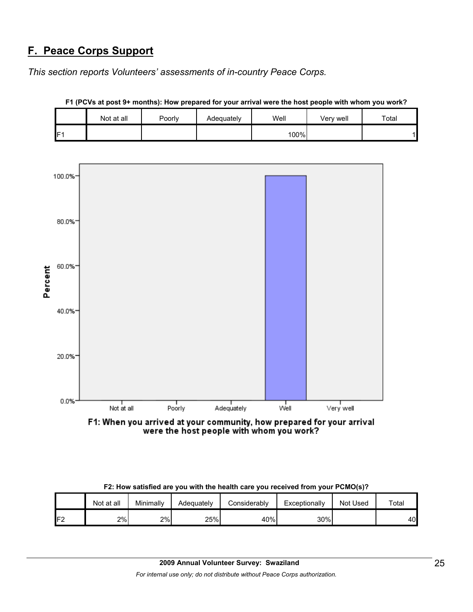# **F. Peace Corps Support**

*This section reports Volunteers' assessments of in-country Peace Corps.* 

|     | Not at all | Poorly | Adequately | Well | Very well | Total |
|-----|------------|--------|------------|------|-----------|-------|
| IF1 |            |        |            | 100% |           | a.    |



**F1 (PCVs at post 9+ months): How prepared for your arrival were the host people with whom you work?**

F1: When you arrived at your community, how prepared for your arrival were the host people with whom you work?

|                | Not at all | Minimally | Adequatelv | Considerably | Exceptionally | Not Used | Total |
|----------------|------------|-----------|------------|--------------|---------------|----------|-------|
| 口つ<br><u>_</u> | 2%         | 2%        | 25%        | 40%          | 30%           |          | 40    |

**F2: How satisfied are you with the health care you received from your PCMO(s)?**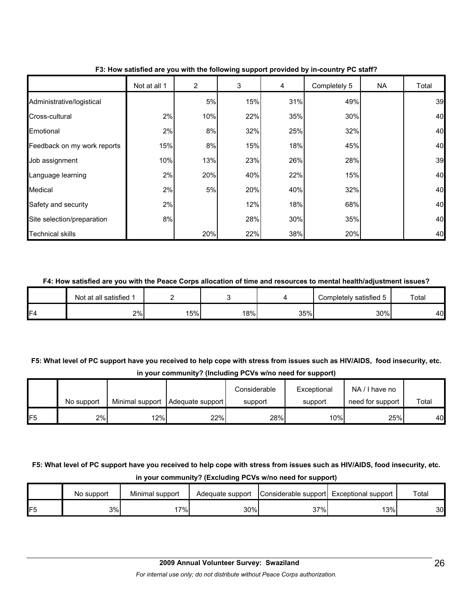|                             | Not at all 1 | 2         | 3   | 4   | Completely 5 | <b>NA</b> | Total |
|-----------------------------|--------------|-----------|-----|-----|--------------|-----------|-------|
| Administrative/logistical   |              | 5%        | 15% | 31% | 49%          |           | 39    |
| Cross-cultural              | 2%           | 10%       | 22% | 35% | 30%          |           | 40    |
| Emotional                   | 2%           | 8%        | 32% | 25% | 32%          |           | 40    |
| Feedback on my work reports | 15%          | 8%        | 15% | 18% | 45%          |           | 40    |
| Job assignment              | 10%          | 13%       | 23% | 26% | 28%          |           | 39    |
| Language learning           | 2%           | 20%       | 40% | 22% | 15%          |           | 40    |
| Medical                     | 2%           | <b>5%</b> | 20% | 40% | 32%          |           | 40    |
| Safety and security         | 2%           |           | 12% | 18% | 68%          |           | 40    |
| Site selection/preparation  | 8%           |           | 28% | 30% | 35%          |           | 40    |
| <b>Technical skills</b>     |              | 20%       | 22% | 38% | 20%          |           | 40    |

#### **F3: How satisfied are you with the following support provided by in-country PC staff?**

#### **F4: How satisfied are you with the Peace Corps allocation of time and resources to mental health/adjustment issues?**

|     | Not at all satisfied 1 |    |           |     | Completely satisfied 5 | Total |
|-----|------------------------|----|-----------|-----|------------------------|-------|
| IF4 | 2%                     | 5% | <b>8%</b> | 35% | 30%                    | 40    |

# **F5: What level of PC support have you received to help cope with stress from issues such as HIV/AIDS, food insecurity, etc. in your community? (Including PCVs w/no need for support)**

|     |            |     |                                    | Considerable | Exceptional | NA/I have no     |       |
|-----|------------|-----|------------------------------------|--------------|-------------|------------------|-------|
|     | No support |     | Minimal support   Adequate support | support      | support     | need for support | Total |
| IF5 | 2%         | 12% | 22%                                | 28%          | 10%         | 25%              | 40    |

# **F5: What level of PC support have you received to help cope with stress from issues such as HIV/AIDS, food insecurity, etc. in your community? (Excluding PCVs w/no need for support)**

|    | No support | Minimal support | Adequate support | Considerable support Exceptional support |     | Total |
|----|------------|-----------------|------------------|------------------------------------------|-----|-------|
| F5 | 3%         | $7\%$           | 30%              | 37%                                      | 13% | 30    |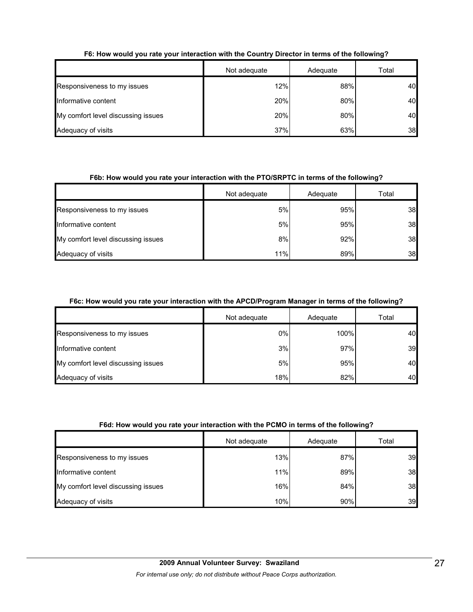|                                    | Not adequate | Adequate | Total |
|------------------------------------|--------------|----------|-------|
| Responsiveness to my issues        | 12%          | 88%      | 40    |
| Informative content                | 20%          | 80%      | 40    |
| My comfort level discussing issues | 20%          | 80%      | 40    |
| Adequacy of visits                 | 37%          | 63%      | 38    |

# **F6: How would you rate your interaction with the Country Director in terms of the following?**

#### **F6b: How would you rate your interaction with the PTO/SRPTC in terms of the following?**

|                                    | Not adequate | Adequate | Total |
|------------------------------------|--------------|----------|-------|
| Responsiveness to my issues        | 5%           | 95%      | 38    |
| Informative content                | 5%           | 95%      | 38    |
| My comfort level discussing issues | 8%           | 92%      | 38    |
| Adequacy of visits                 | 11%          | 89%      | 38    |

#### **F6c: How would you rate your interaction with the APCD/Program Manager in terms of the following?**

|                                    | Not adequate | Adequate | Total |
|------------------------------------|--------------|----------|-------|
| Responsiveness to my issues        | 0%           | 100%     | 40    |
| Informative content                | 3%           | 97%      | 39    |
| My comfort level discussing issues | 5%           | 95%      | 40    |
| Adequacy of visits                 | 18%          | 82%      | 40    |

#### **F6d: How would you rate your interaction with the PCMO in terms of the following?**

|                                    | Not adequate | Adequate | Total |
|------------------------------------|--------------|----------|-------|
| Responsiveness to my issues        | 13%          | 87%      | 39    |
| Informative content                | 11%          | 89%      | 38    |
| My comfort level discussing issues | 16%          | 84%      | 38    |
| Adequacy of visits                 | 10%          | 90%      | 39    |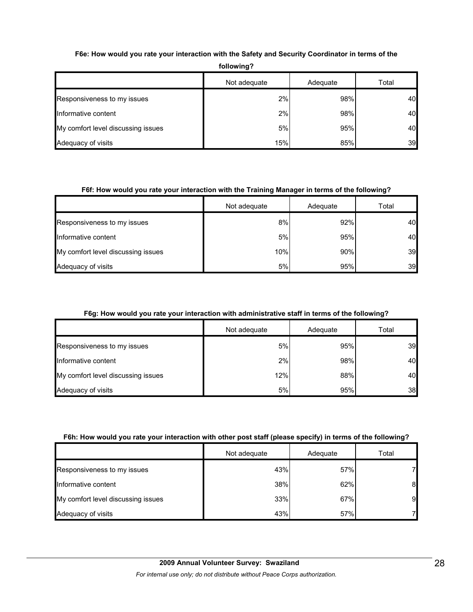| <b>IVIIUWIIIU :</b>                |              |          |       |  |
|------------------------------------|--------------|----------|-------|--|
|                                    | Not adequate | Adequate | Total |  |
| Responsiveness to my issues        | 2%           | 98%      | 40    |  |
| Informative content                | 2%           | 98%      | 40    |  |
| My comfort level discussing issues | 5%           | 95%      | 40    |  |
| Adequacy of visits                 | 15%          | 85%      | 39    |  |

## **F6e: How would you rate your interaction with the Safety and Security Coordinator in terms of the**

**following?**

#### **F6f: How would you rate your interaction with the Training Manager in terms of the following?**

|                                    | Not adequate | Adequate | Total |
|------------------------------------|--------------|----------|-------|
| Responsiveness to my issues        | 8%           | 92%      | 40    |
| Informative content                | 5%           | 95%      | 40    |
| My comfort level discussing issues | 10%          | 90%      | 39    |
| Adequacy of visits                 | 5%           | 95%      | 39    |

#### **F6g: How would you rate your interaction with administrative staff in terms of the following?**

|                                    | Not adequate | Adequate | Total |
|------------------------------------|--------------|----------|-------|
| Responsiveness to my issues        | 5%           | 95%      | 39    |
| Informative content                | 2%           | 98%      | 40    |
| My comfort level discussing issues | 12%          | 88%      | 40    |
| Adequacy of visits                 | 5%           | 95%      | 38    |

# **F6h: How would you rate your interaction with other post staff (please specify) in terms of the following?**

|                                    | Not adequate<br>Adequate |     | Total |
|------------------------------------|--------------------------|-----|-------|
| Responsiveness to my issues        | 43%                      | 57% |       |
| Informative content                | 38%                      | 62% | 8     |
| My comfort level discussing issues | 33%                      | 67% | 9     |
| Adequacy of visits                 | 43%                      | 57% |       |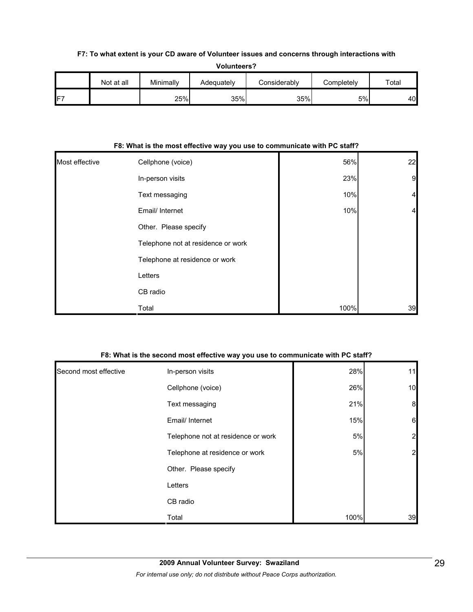#### **F7: To what extent is your CD aware of Volunteer issues and concerns through interactions with**

|                 | <b>Volunteers?</b> |           |            |              |            |       |
|-----------------|--------------------|-----------|------------|--------------|------------|-------|
|                 | Not at all         | Minimally | Adequately | Considerably | Completely | Total |
| IF <sub>7</sub> |                    | 25%       | 35%        | 35%          | 5%l        | 40    |

#### **F8: What is the most effective way you use to communicate with PC staff?**

| Most effective | Cellphone (voice)                  | 56%  | 22             |
|----------------|------------------------------------|------|----------------|
|                | In-person visits                   | 23%  | $\mathbf{9}$   |
|                | Text messaging                     | 10%  | $\overline{4}$ |
|                | Email/ Internet                    | 10%  | $\overline{4}$ |
|                | Other. Please specify              |      |                |
|                | Telephone not at residence or work |      |                |
|                | Telephone at residence or work     |      |                |
|                | Letters                            |      |                |
|                | CB radio                           |      |                |
|                | Total                              | 100% | 39             |

#### **F8: What is the second most effective way you use to communicate with PC staff?**

| Second most effective | In-person visits                   | 28%  | 11              |
|-----------------------|------------------------------------|------|-----------------|
|                       | Cellphone (voice)                  | 26%  | 10              |
|                       | Text messaging                     | 21%  | 8               |
|                       | Email/ Internet                    | 15%  | $6\phantom{.}6$ |
|                       | Telephone not at residence or work | 5%   | $\overline{2}$  |
|                       | Telephone at residence or work     | 5%   | $\overline{a}$  |
|                       | Other. Please specify              |      |                 |
|                       | Letters                            |      |                 |
|                       | CB radio                           |      |                 |
|                       | Total                              | 100% | 39              |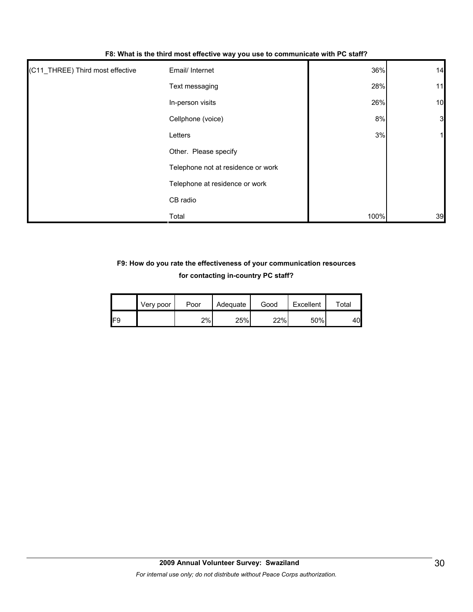| (C11_THREE) Third most effective | Email/ Internet                    | 36%  | 14                      |
|----------------------------------|------------------------------------|------|-------------------------|
|                                  | Text messaging                     | 28%  | 11                      |
|                                  | In-person visits                   | 26%  | 10                      |
|                                  | Cellphone (voice)                  | 8%   | $\overline{\mathbf{3}}$ |
|                                  | Letters                            | 3%   |                         |
|                                  | Other. Please specify              |      |                         |
|                                  | Telephone not at residence or work |      |                         |
|                                  | Telephone at residence or work     |      |                         |
|                                  | CB radio                           |      |                         |
|                                  | Total                              | 100% | 39                      |

#### **F8: What is the third most effective way you use to communicate with PC staff?**

# **F9: How do you rate the effectiveness of your communication resources for contacting in-country PC staff?**

|     | Very poor | Poor | Adequate | Good | Excellent | $\tau$ otal |
|-----|-----------|------|----------|------|-----------|-------------|
| IF9 |           | 2%   | 25%      | 22%  | 50%       | 40          |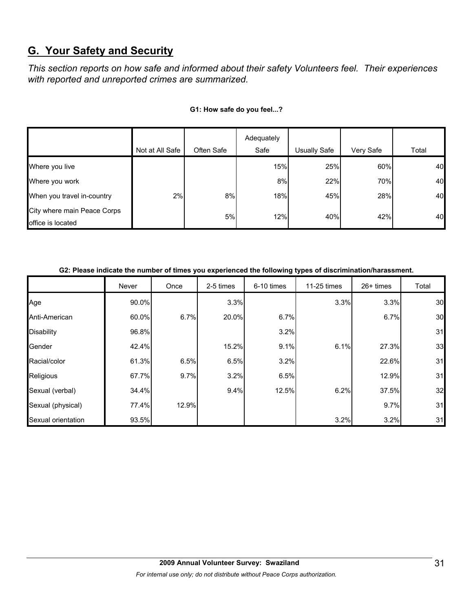# **G. Your Safety and Security**

*This section reports on how safe and informed about their safety Volunteers feel. Their experiences with reported and unreported crimes are summarized.* 

|                                                  | Not at All Safe | Often Safe | Adequately<br>Safe | <b>Usually Safe</b> | Very Safe | Total |
|--------------------------------------------------|-----------------|------------|--------------------|---------------------|-----------|-------|
|                                                  |                 |            |                    |                     |           |       |
| Where you live                                   |                 |            | 15%                | 25%                 | 60%       | 40    |
| Where you work                                   |                 |            | 8%                 | 22%                 | 70%       | 40    |
| When you travel in-country                       | 2%              | 8%         | 18%                | 45%                 | 28%       | 40    |
| City where main Peace Corps<br>office is located |                 | 5%         | 12%                | 40%                 | 42%       | 40    |

#### **G1: How safe do you feel...?**

#### **G2: Please indicate the number of times you experienced the following types of discrimination/harassment.**

|                    | Never | Once  | 2-5 times | 6-10 times | 11-25 times | 26+ times | Total |
|--------------------|-------|-------|-----------|------------|-------------|-----------|-------|
| Age                | 90.0% |       | 3.3%      |            | 3.3%        | 3.3%      | 30    |
| Anti-American      | 60.0% | 6.7%  | 20.0%     | 6.7%       |             | 6.7%      | 30    |
| <b>Disability</b>  | 96.8% |       |           | 3.2%       |             |           | 31    |
| Gender             | 42.4% |       | 15.2%     | 9.1%       | 6.1%        | 27.3%     | 33    |
| Racial/color       | 61.3% | 6.5%  | 6.5%      | 3.2%       |             | 22.6%     | 31    |
| Religious          | 67.7% | 9.7%  | 3.2%      | 6.5%       |             | 12.9%     | 31    |
| Sexual (verbal)    | 34.4% |       | 9.4%      | 12.5%      | 6.2%        | 37.5%     | 32    |
| Sexual (physical)  | 77.4% | 12.9% |           |            |             | 9.7%      | 31    |
| Sexual orientation | 93.5% |       |           |            | 3.2%        | 3.2%      | 31    |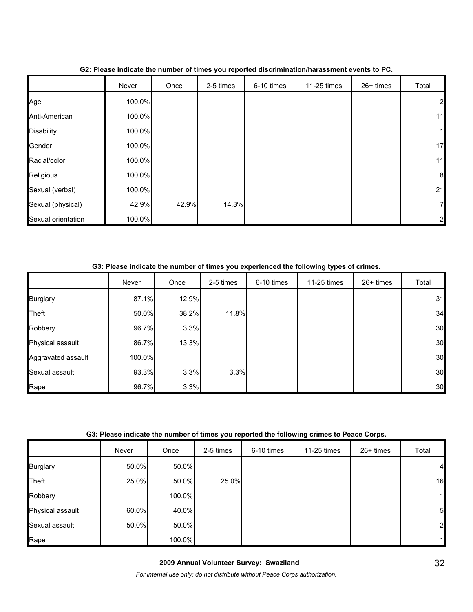|                    | Never  | Once  | 2-5 times | 6-10 times | 11-25 times | 26+ times | Total            |
|--------------------|--------|-------|-----------|------------|-------------|-----------|------------------|
| Age                | 100.0% |       |           |            |             |           | $\overline{a}$   |
| Anti-American      | 100.0% |       |           |            |             |           | 11               |
| <b>Disability</b>  | 100.0% |       |           |            |             |           | $\mathbf{1}$     |
| Gender             | 100.0% |       |           |            |             |           | 17               |
| Racial/color       | 100.0% |       |           |            |             |           | 11               |
| Religious          | 100.0% |       |           |            |             |           | $\boldsymbol{8}$ |
| Sexual (verbal)    | 100.0% |       |           |            |             |           | 21               |
| Sexual (physical)  | 42.9%  | 42.9% | 14.3%     |            |             |           | 7                |
| Sexual orientation | 100.0% |       |           |            |             |           | $\overline{2}$   |

## **G2: Please indicate the number of times you reported discrimination/harassment events to PC.**

#### **G3: Please indicate the number of times you experienced the following types of crimes.**

|                    | Never  | Once  | 2-5 times | 6-10 times | 11-25 times | 26+ times | Total |
|--------------------|--------|-------|-----------|------------|-------------|-----------|-------|
| <b>Burglary</b>    | 87.1%  | 12.9% |           |            |             |           | 31    |
| <b>Theft</b>       | 50.0%  | 38.2% | 11.8%     |            |             |           | 34    |
| Robbery            | 96.7%  | 3.3%  |           |            |             |           | 30    |
| Physical assault   | 86.7%  | 13.3% |           |            |             |           | 30    |
| Aggravated assault | 100.0% |       |           |            |             |           | 30    |
| Sexual assault     | 93.3%  | 3.3%  | 3.3%      |            |             |           | 30    |
| Rape               | 96.7%  | 3.3%  |           |            |             |           | 30    |

#### **G3: Please indicate the number of times you reported the following crimes to Peace Corps.**

|                  | Never | Once   | 2-5 times | 6-10 times | 11-25 times | 26+ times | Total           |
|------------------|-------|--------|-----------|------------|-------------|-----------|-----------------|
| <b>Burglary</b>  | 50.0% | 50.0%  |           |            |             |           | $\overline{a}$  |
| Theft            | 25.0% | 50.0%  | 25.0%     |            |             |           | 16              |
| Robbery          |       | 100.0% |           |            |             |           | 1               |
| Physical assault | 60.0% | 40.0%  |           |            |             |           | $5\overline{a}$ |
| Sexual assault   | 50.0% | 50.0%  |           |            |             |           | $2 \vert$       |
| Rape             |       | 100.0% |           |            |             |           |                 |

*For internal use only; do not distribute without Peace Corps authorization.*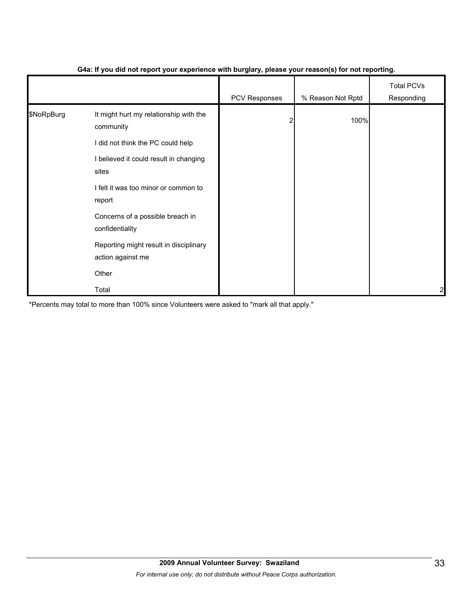|            |                                                             | .             | $\mathbf{v}$      |                                 |
|------------|-------------------------------------------------------------|---------------|-------------------|---------------------------------|
|            |                                                             | PCV Responses | % Reason Not Rptd | <b>Total PCVs</b><br>Responding |
| \$NoRpBurg | It might hurt my relationship with the<br>community         |               | 100%              |                                 |
|            | I did not think the PC could help                           |               |                   |                                 |
|            | I believed it could result in changing<br>sites             |               |                   |                                 |
|            | I felt it was too minor or common to<br>report              |               |                   |                                 |
|            | Concerns of a possible breach in<br>confidentiality         |               |                   |                                 |
|            | Reporting might result in disciplinary<br>action against me |               |                   |                                 |
|            | Other                                                       |               |                   |                                 |
|            | Total                                                       |               |                   | $\overline{c}$                  |

#### **G4a: If you did not report your experience with burglary, please your reason(s) for not reporting.**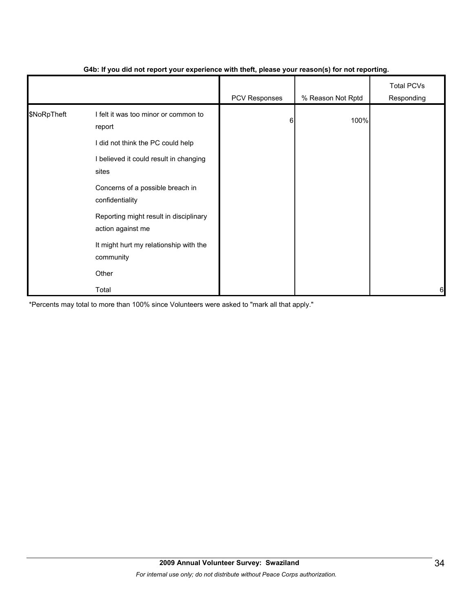|             |                                                             | PCV Responses | % Reason Not Rptd | <b>Total PCVs</b><br>Responding |
|-------------|-------------------------------------------------------------|---------------|-------------------|---------------------------------|
| \$NoRpTheft | I felt it was too minor or common to<br>report              | 6             | 100%              |                                 |
|             | I did not think the PC could help                           |               |                   |                                 |
|             | I believed it could result in changing<br>sites             |               |                   |                                 |
|             | Concerns of a possible breach in<br>confidentiality         |               |                   |                                 |
|             | Reporting might result in disciplinary<br>action against me |               |                   |                                 |
|             | It might hurt my relationship with the<br>community         |               |                   |                                 |
|             | Other                                                       |               |                   |                                 |
|             | Total                                                       |               |                   | 6                               |

#### **G4b: If you did not report your experience with theft, please your reason(s) for not reporting.**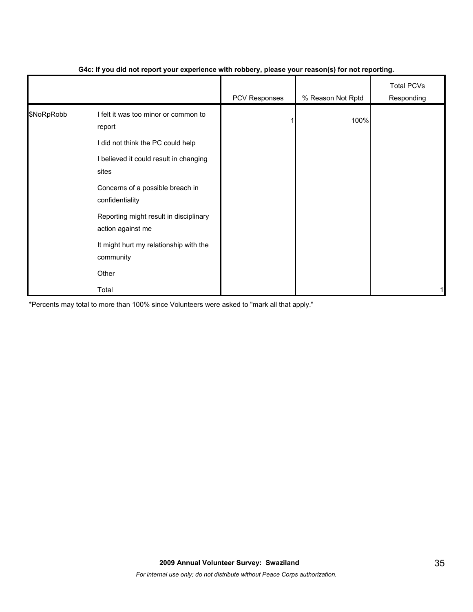|            |                                                             | . .           | $\mathbf{v}$      |                                 |
|------------|-------------------------------------------------------------|---------------|-------------------|---------------------------------|
|            |                                                             | PCV Responses | % Reason Not Rptd | <b>Total PCVs</b><br>Responding |
| \$NoRpRobb | I felt it was too minor or common to<br>report              |               | 100%              |                                 |
|            | I did not think the PC could help                           |               |                   |                                 |
|            | I believed it could result in changing<br>sites             |               |                   |                                 |
|            | Concerns of a possible breach in<br>confidentiality         |               |                   |                                 |
|            | Reporting might result in disciplinary<br>action against me |               |                   |                                 |
|            | It might hurt my relationship with the<br>community         |               |                   |                                 |
|            | Other                                                       |               |                   |                                 |
|            | Total                                                       |               |                   |                                 |

#### **G4c: If you did not report your experience with robbery, please your reason(s) for not reporting.**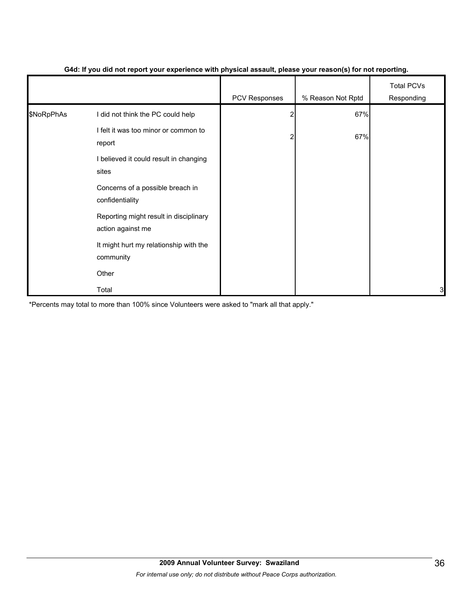|            |                                                             | . .           | $\mathbf{v}$      |                                 |
|------------|-------------------------------------------------------------|---------------|-------------------|---------------------------------|
|            |                                                             | PCV Responses | % Reason Not Rptd | <b>Total PCVs</b><br>Responding |
| \$NoRpPhAs | I did not think the PC could help                           | 2             | 67%               |                                 |
|            | I felt it was too minor or common to<br>report              | 2             | 67%               |                                 |
|            | I believed it could result in changing<br>sites             |               |                   |                                 |
|            | Concerns of a possible breach in<br>confidentiality         |               |                   |                                 |
|            | Reporting might result in disciplinary<br>action against me |               |                   |                                 |
|            | It might hurt my relationship with the<br>community         |               |                   |                                 |
|            | Other                                                       |               |                   |                                 |
|            | Total                                                       |               |                   | 3                               |

#### **G4d: If you did not report your experience with physical assault, please your reason(s) for not reporting.**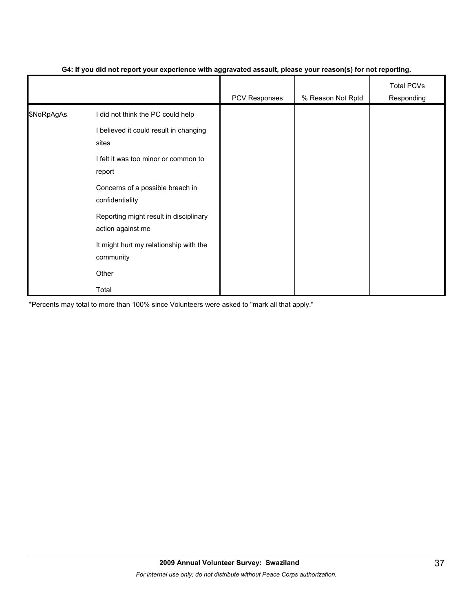|            |                                                             | --<br>$\cdot$ . | $\ddot{\phantom{1}}$ |                                 |
|------------|-------------------------------------------------------------|-----------------|----------------------|---------------------------------|
|            |                                                             | PCV Responses   | % Reason Not Rptd    | <b>Total PCVs</b><br>Responding |
| \$NoRpAgAs | I did not think the PC could help                           |                 |                      |                                 |
|            | I believed it could result in changing<br>sites             |                 |                      |                                 |
|            | I felt it was too minor or common to<br>report              |                 |                      |                                 |
|            | Concerns of a possible breach in<br>confidentiality         |                 |                      |                                 |
|            | Reporting might result in disciplinary<br>action against me |                 |                      |                                 |
|            | It might hurt my relationship with the<br>community         |                 |                      |                                 |
|            | Other                                                       |                 |                      |                                 |
|            | Total                                                       |                 |                      |                                 |

#### **G4: If you did not report your experience with aggravated assault, please your reason(s) for not reporting.**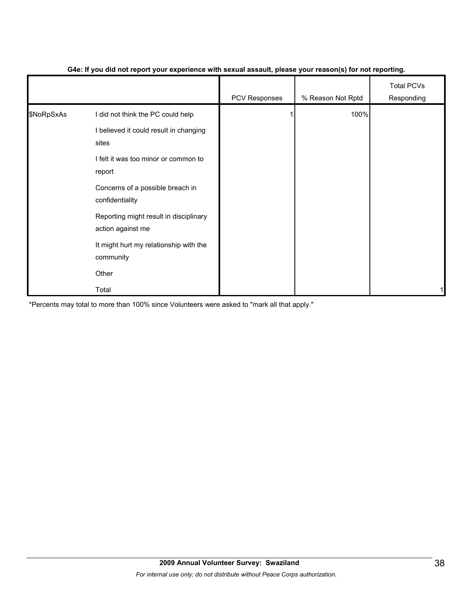|            |                                                             | - 1           | $\mathbf{v}$      |                                 |
|------------|-------------------------------------------------------------|---------------|-------------------|---------------------------------|
|            |                                                             | PCV Responses | % Reason Not Rptd | <b>Total PCVs</b><br>Responding |
| \$NoRpSxAs | I did not think the PC could help                           |               | 100%              |                                 |
|            | I believed it could result in changing<br>sites             |               |                   |                                 |
|            | I felt it was too minor or common to<br>report              |               |                   |                                 |
|            | Concerns of a possible breach in<br>confidentiality         |               |                   |                                 |
|            | Reporting might result in disciplinary<br>action against me |               |                   |                                 |
|            | It might hurt my relationship with the<br>community         |               |                   |                                 |
|            | Other                                                       |               |                   |                                 |
|            | Total                                                       |               |                   |                                 |

#### **G4e: If you did not report your experience with sexual assault, please your reason(s) for not reporting.**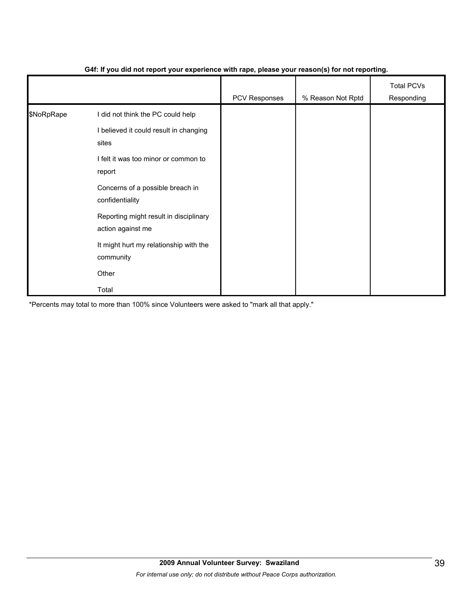|            |                                                             | .             | $\mathbf{v}$      |                                 |
|------------|-------------------------------------------------------------|---------------|-------------------|---------------------------------|
|            |                                                             | PCV Responses | % Reason Not Rptd | <b>Total PCVs</b><br>Responding |
| \$NoRpRape | I did not think the PC could help                           |               |                   |                                 |
|            | I believed it could result in changing<br>sites             |               |                   |                                 |
|            | I felt it was too minor or common to<br>report              |               |                   |                                 |
|            | Concerns of a possible breach in<br>confidentiality         |               |                   |                                 |
|            | Reporting might result in disciplinary<br>action against me |               |                   |                                 |
|            | It might hurt my relationship with the<br>community         |               |                   |                                 |
|            | Other                                                       |               |                   |                                 |
|            | Total                                                       |               |                   |                                 |

#### **G4f: If you did not report your experience with rape, please your reason(s) for not reporting.**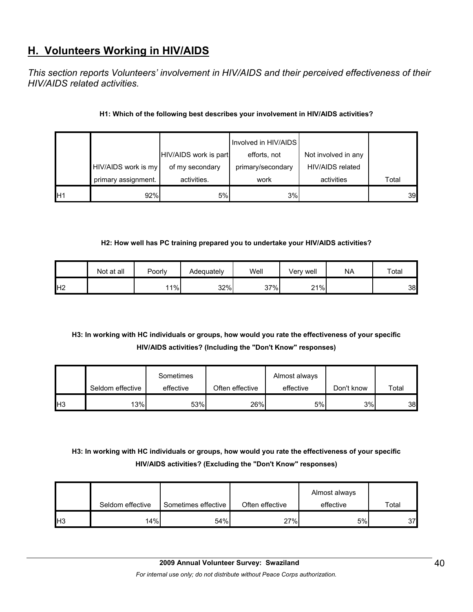# **H. Volunteers Working in HIV/AIDS**

*This section reports Volunteers' involvement in HIV/AIDS and their perceived effectiveness of their HIV/AIDS related activities.* 

### **H1: Which of the following best describes your involvement in HIV/AIDS activities?**

|    |                     |                       | Involved in HIV/AIDS |                     |       |
|----|---------------------|-----------------------|----------------------|---------------------|-------|
|    |                     | HIV/AIDS work is part | efforts, not         | Not involved in any |       |
|    | HIV/AIDS work is my | of my secondary       | primary/secondary    | HIV/AIDS related    |       |
|    | primary assignment. | activities.           | work                 | activities          | Total |
| H1 | 92%                 | 5%                    | 3%                   |                     | 39    |

#### **H2: How well has PC training prepared you to undertake your HIV/AIDS activities?**

|                | Not at all | Poorly | Adequately | Well | Verv well | <b>NA</b> | Total |
|----------------|------------|--------|------------|------|-----------|-----------|-------|
| H <sub>2</sub> |            | 11%    | 32%        | 37%  | 21%       |           | 38    |

# **H3: In working with HC individuals or groups, how would you rate the effectiveness of your specific HIV/AIDS activities? (Including the "Don't Know" responses)**

|                 | Seldom effective | Sometimes<br>effective | Often effective | Almost always<br>effective | Don't know | Total |
|-----------------|------------------|------------------------|-----------------|----------------------------|------------|-------|
| IH <sub>3</sub> | 13%              | 53%                    | 26%             | 5%                         | 3%         | 38    |

# **H3: In working with HC individuals or groups, how would you rate the effectiveness of your specific HIV/AIDS activities? (Excluding the "Don't Know" responses)**

|                 | Seldom effective | Sometimes effective | Often effective | Almost always<br>effective | $\tau$ otal |
|-----------------|------------------|---------------------|-----------------|----------------------------|-------------|
| IH <sub>3</sub> | 14%              | 54%                 | 27%             | 5%                         | 37          |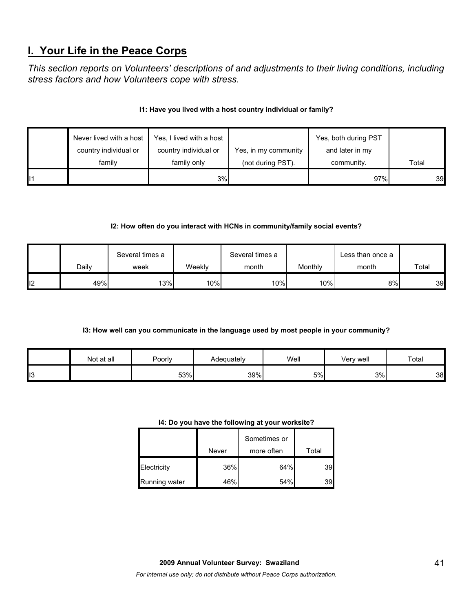# **I. Your Life in the Peace Corps**

*This section reports on Volunteers' descriptions of and adjustments to their living conditions, including stress factors and how Volunteers cope with stress.* 

## **I1: Have you lived with a host country individual or family?**

| Never lived with a host | Yes, I lived with a host |                      | Yes, both during PST |       |
|-------------------------|--------------------------|----------------------|----------------------|-------|
| country individual or   | country individual or    | Yes, in my community | and later in my      |       |
| family                  | family only              | (not during PST).    | community.           | Total |
|                         | 3%                       |                      | 97%                  | 39    |

# **I2: How often do you interact with HCNs in community/family social events?**

|    |       | Several times a |        | Several times a |         | Less than once a |       |
|----|-------|-----------------|--------|-----------------|---------|------------------|-------|
|    | Daily | week            | Weeklv | month           | Monthly | month            | Total |
| 12 | 49%   | 13%             | 10%    | 10%             | 10%l    | 8%               | 39    |

# **I3: How well can you communicate in the language used by most people in your community?**

|     | Not at all | Poorly | Adequatelv | Well | Very well | Total |
|-----|------------|--------|------------|------|-----------|-------|
| ∥ı3 |            | 53%    | 39%        | 5%   | 3%        | 38    |

#### **I4: Do you have the following at your worksite?**

|               | Never | Sometimes or<br>more often | Total |
|---------------|-------|----------------------------|-------|
| Electricity   | 36%   | 64%                        | 39    |
| Running water | 46%   | 54%                        | 39    |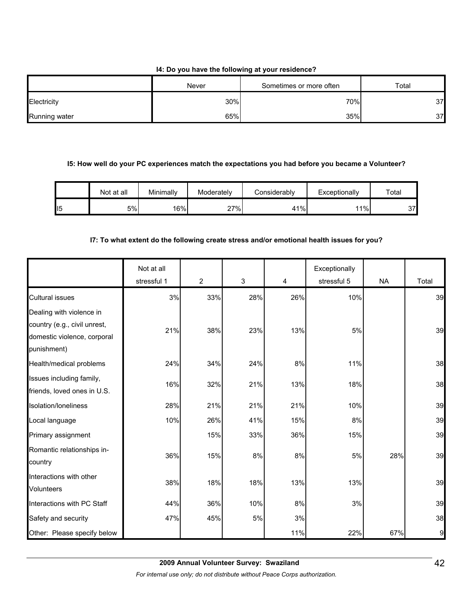#### **I4: Do you have the following at your residence?**

|               | Never | Sometimes or more often | Total |
|---------------|-------|-------------------------|-------|
| Electricity   | 30%   | 70%                     | 37    |
| Running water | 65%   | 35%                     | 37    |

#### **I5: How well do your PC experiences match the expectations you had before you became a Volunteer?**

|     | Not at all | Minimally | Moderately | Considerablv | Exceptionally | Total |
|-----|------------|-----------|------------|--------------|---------------|-------|
| II5 | 5%         | 16%       | 27%        | 41%          | 11%           | 37    |

#### **I7: To what extent do the following create stress and/or emotional health issues for you?**

|                                                                                                        | Not at all<br>stressful 1 | $\overline{2}$ | 3   | 4   | Exceptionally<br>stressful 5 | <b>NA</b> | Total |
|--------------------------------------------------------------------------------------------------------|---------------------------|----------------|-----|-----|------------------------------|-----------|-------|
| <b>Cultural issues</b>                                                                                 | 3%                        | 33%            | 28% | 26% | 10%                          |           | 39    |
| Dealing with violence in<br>country (e.g., civil unrest,<br>domestic violence, corporal<br>punishment) | 21%                       | 38%            | 23% | 13% | 5%                           |           | 39    |
| Health/medical problems                                                                                | 24%                       | 34%            | 24% | 8%  | 11%                          |           | 38    |
| Issues including family,<br>friends, loved ones in U.S.                                                | 16%                       | 32%            | 21% | 13% | 18%                          |           | 38    |
| Isolation/loneliness                                                                                   | 28%                       | 21%            | 21% | 21% | 10%                          |           | 39    |
| Local language                                                                                         | 10%                       | 26%            | 41% | 15% | 8%                           |           | 39    |
| Primary assignment                                                                                     |                           | 15%            | 33% | 36% | 15%                          |           | 39    |
| Romantic relationships in-<br>country                                                                  | 36%                       | 15%            | 8%  | 8%  | 5%                           | 28%       | 39    |
| Interactions with other<br><b>Volunteers</b>                                                           | 38%                       | 18%            | 18% | 13% | 13%                          |           | 39    |
| Interactions with PC Staff                                                                             | 44%                       | 36%            | 10% | 8%  | 3%                           |           | 39    |
| Safety and security                                                                                    | 47%                       | 45%            | 5%  | 3%  |                              |           | 38    |
| Other: Please specify below                                                                            |                           |                |     | 11% | 22%                          | 67%       | 9     |

*For internal use only; do not distribute without Peace Corps authorization.*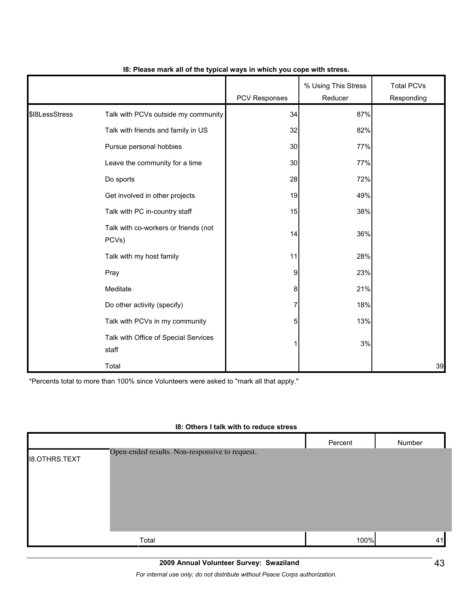|                |                                               | PCV Responses  | % Using This Stress<br>Reducer | <b>Total PCVs</b><br>Responding |
|----------------|-----------------------------------------------|----------------|--------------------------------|---------------------------------|
| \$18LessStress | Talk with PCVs outside my community           | 34             | 87%                            |                                 |
|                | Talk with friends and family in US            | 32             | 82%                            |                                 |
|                | Pursue personal hobbies                       | 30             | 77%                            |                                 |
|                | Leave the community for a time                | 30             | 77%                            |                                 |
|                | Do sports                                     | 28             | 72%                            |                                 |
|                | Get involved in other projects                | 19             | 49%                            |                                 |
|                | Talk with PC in-country staff                 | 15             | 38%                            |                                 |
|                | Talk with co-workers or friends (not<br>PCVs) | 14             | 36%                            |                                 |
|                | Talk with my host family                      | 11             | 28%                            |                                 |
|                | Pray                                          | 9              | 23%                            |                                 |
|                | Meditate                                      | 8              | 21%                            |                                 |
|                | Do other activity (specify)                   | 7              | 18%                            |                                 |
|                | Talk with PCVs in my community                | 5 <sup>1</sup> | 13%                            |                                 |
|                | Talk with Office of Special Services<br>staff | 11             | 3%                             |                                 |
|                | Total                                         |                |                                | 39                              |

#### **I8: Please mark all of the typical ways in which you cope with stress.**

\*Percents total to more than 100% since Volunteers were asked to "mark all that apply."

#### **I8: Others I talk with to reduce stress**

|                      |                                                | Percent | Number |
|----------------------|------------------------------------------------|---------|--------|
| <b>I8.OTHRS.TEXT</b> | Open-ended results. Non-responsive to request. |         |        |
|                      | Total                                          | 100%    | 41     |

## **2009 Annual Volunteer Survey: Swaziland**

*For internal use only; do not distribute without Peace Corps authorization.*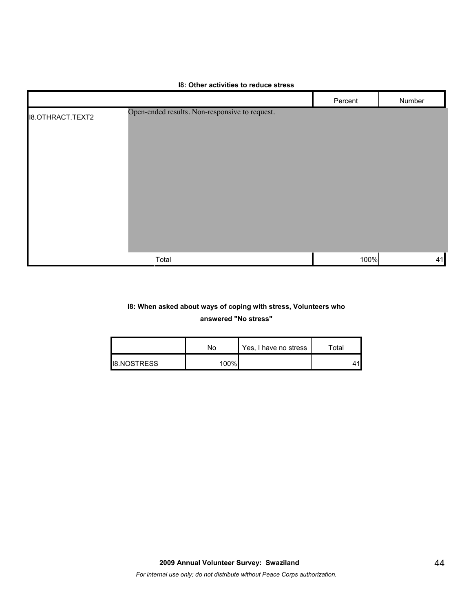|                         |                                                | Percent | Number |
|-------------------------|------------------------------------------------|---------|--------|
| <b>I8.OTHRACT.TEXT2</b> | Open-ended results. Non-responsive to request. |         |        |
|                         | Total                                          | 100%    | 41     |

#### **I8: Other activities to reduce stress**

# **I8: When asked about ways of coping with stress, Volunteers who**

#### **answered "No stress"**

|                     | No   | Yes, I have no stress | ⊤otal |
|---------------------|------|-----------------------|-------|
| <b>I</b> B.NOSTRESS | 100% |                       |       |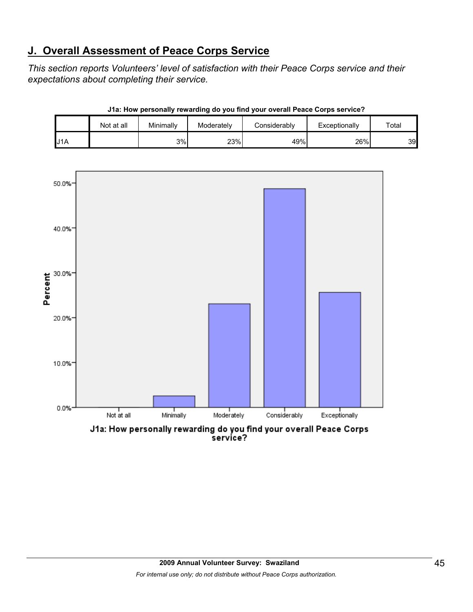# **J. Overall Assessment of Peace Corps Service**

*This section reports Volunteers' level of satisfaction with their Peace Corps service and their expectations about completing their service.* 

|                  | Not at all | Minimally | Moderately | Considerably | Exceptionally | Total |
|------------------|------------|-----------|------------|--------------|---------------|-------|
| J <sub>1</sub> A |            | 3%        | 23%        | 49%          | 26%           | 39    |

**J1a: How personally rewarding do you find your overall Peace Corps service?**



service?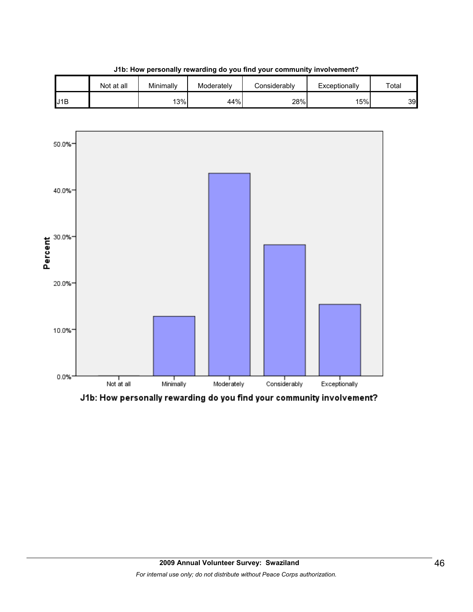





J1b: How personally rewarding do you find your community involvement?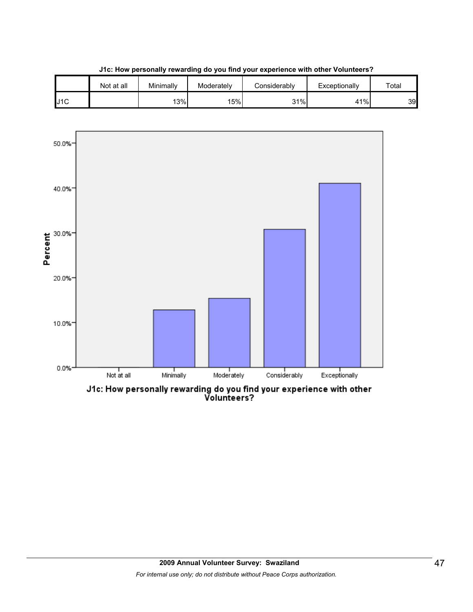

**J1c: How personally rewarding do you find your experience with other Volunteers?**

J1c: How personally rewarding do you find your experience with other<br>Volunteers?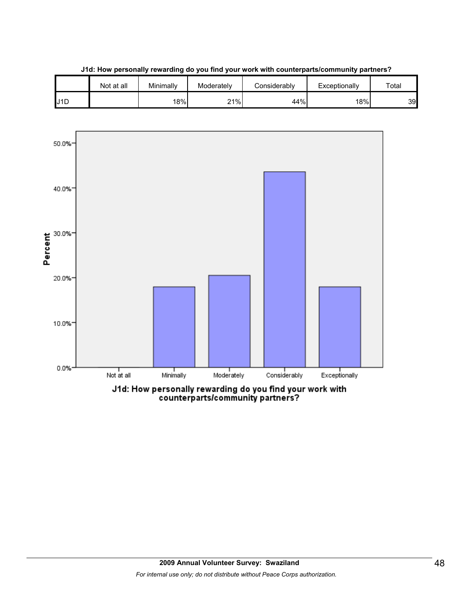





J1d: How personally rewarding do you find your work with<br>counterparts/community partners?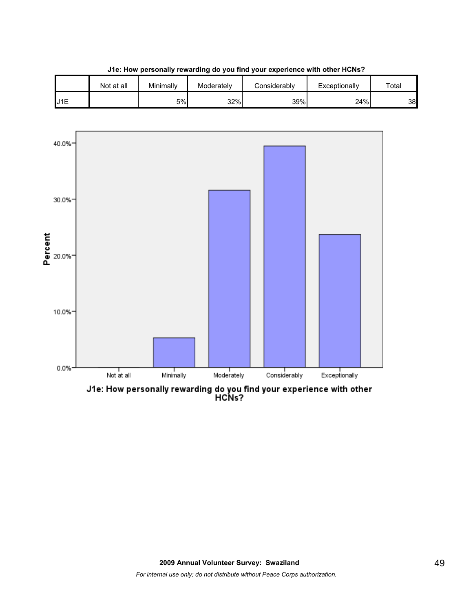

**J1e: How personally rewarding do you find your experience with other HCNs?**

Not at all | Minimally | Moderately | Considerably | Exceptionally | Total

J1e: How personally rewarding do you find your experience with other<br>HCNs?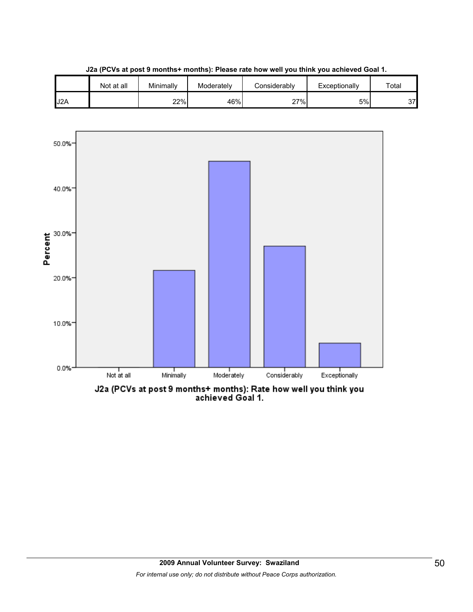

**J2a (PCVs at post 9 months+ months): Please rate how well you think you achieved Goal 1.**



J2a (PCVs at post 9 months+ months): Rate how well you think you<br>achieved Goal 1.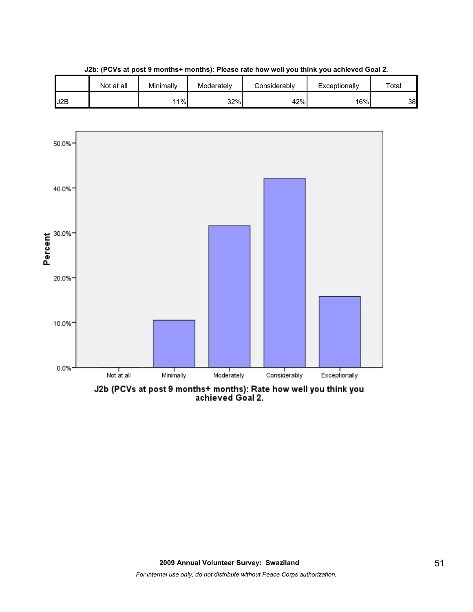

**J2b: (PCVs at post 9 months+ months): Please rate how well you think you achieved Goal 2.**

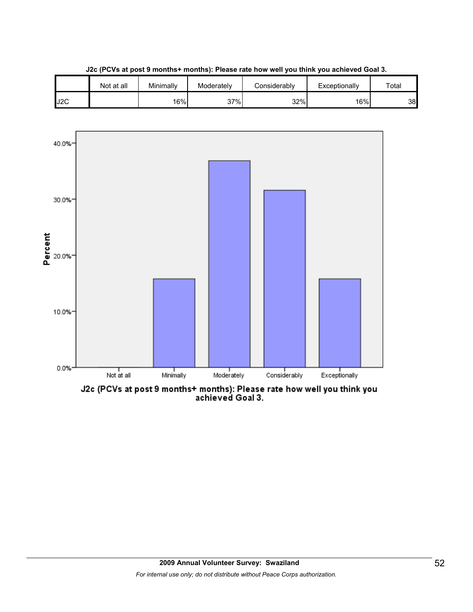

**J2c (PCVs at post 9 months+ months): Please rate how well you think you achieved Goal 3.**



J2c (PCVs at post 9 months+ months): Please rate how well you think you<br>achieved Goal 3.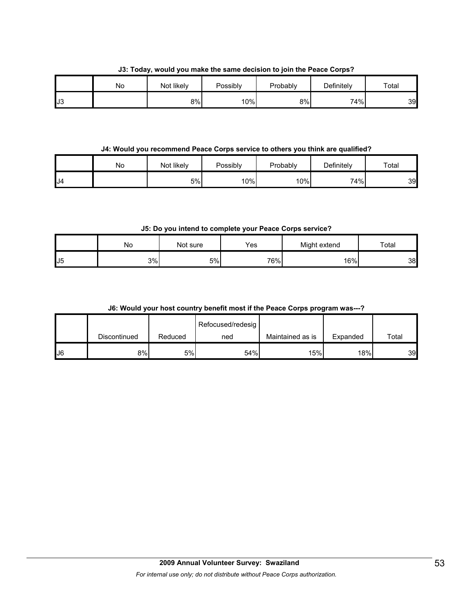**J3: Today, would you make the same decision to join the Peace Corps?**

|     | No | Not likely | Possibly | Probably | Definitely | Total |
|-----|----|------------|----------|----------|------------|-------|
| IJ3 |    | 8%         | 10%      | 8%       | 74%        | 39    |

**J4: Would you recommend Peace Corps service to others you think are qualified?**

|     | No | Not likely | Possibly | Probably | Definitely | Total |
|-----|----|------------|----------|----------|------------|-------|
| IJ4 |    | 5%         | 10%      | 10%      | 74%        | 39    |

**J5: Do you intend to complete your Peace Corps service?**

|                | <b>NO</b> | Not sure | Yes | Might extend | Total |
|----------------|-----------|----------|-----|--------------|-------|
| U <sub>5</sub> | 3%l       | 5%       | 76% | 16%          | 38    |

## **J6: Would your host country benefit most if the Peace Corps program was---?**

|    |              |         | Refocused/redesig |                  |          |       |
|----|--------------|---------|-------------------|------------------|----------|-------|
|    | Discontinued | Reduced | ned               | Maintained as is | Expanded | Total |
| J6 | 8%           | 5%      | 54%               | 15%              | 18%      | 39    |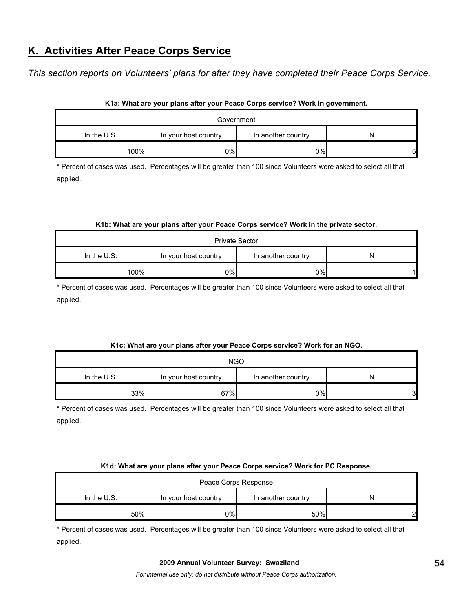# **K. Activities After Peace Corps Service**

*This section reports on Volunteers' plans for after they have completed their Peace Corps Service.* 

| Government  |                      |                    |   |  |  |
|-------------|----------------------|--------------------|---|--|--|
| In the U.S. | In your host country | In another country |   |  |  |
| 100%        | 0%                   | 0%                 | 5 |  |  |

#### **K1a: What are your plans after your Peace Corps service? Work in government.**

\* Percent of cases was used. Percentages will be greater than 100 since Volunteers were asked to select all that applied.

#### **K1b: What are your plans after your Peace Corps service? Work in the private sector.**

| <b>Private Sector</b> |                      |                    |   |  |  |
|-----------------------|----------------------|--------------------|---|--|--|
| In the $U.S.$         | In your host country | In another country | N |  |  |
| 100%                  | 0%                   | 0%                 |   |  |  |

\* Percent of cases was used. Percentages will be greater than 100 since Volunteers were asked to select all that applied.

#### **K1c: What are your plans after your Peace Corps service? Work for an NGO.**

| <b>NGO</b>    |                      |                    |   |  |  |
|---------------|----------------------|--------------------|---|--|--|
| In the $U.S.$ | In your host country | In another country | N |  |  |
| 33%           | 67%                  | 0%                 | 3 |  |  |

\* Percent of cases was used. Percentages will be greater than 100 since Volunteers were asked to select all that applied.

#### **K1d: What are your plans after your Peace Corps service? Work for PC Response.**

| Peace Corps Response |                                                 |     |   |  |
|----------------------|-------------------------------------------------|-----|---|--|
| In the U.S.          | In your host country<br>In another country<br>N |     |   |  |
| 50%                  | 0%l                                             | 50% | ົ |  |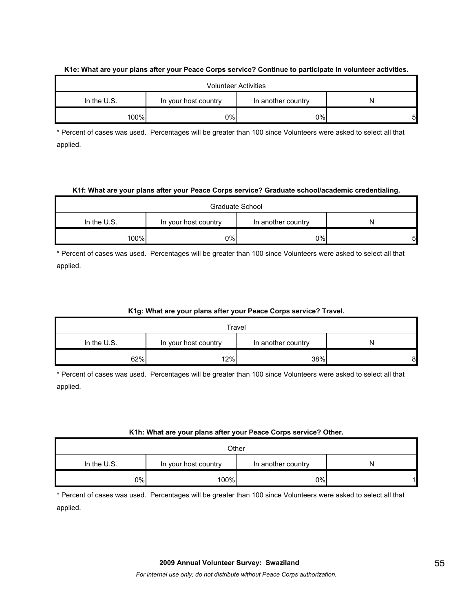|               |                      | <b>Volunteer Activities</b> |   |
|---------------|----------------------|-----------------------------|---|
| In the $U.S.$ | In your host country | In another country          |   |
| 100%          | 0%l                  | 0%                          | 5 |

#### **K1e: What are your plans after your Peace Corps service? Continue to participate in volunteer activities.**

\* Percent of cases was used. Percentages will be greater than 100 since Volunteers were asked to select all that applied.

#### **K1f: What are your plans after your Peace Corps service? Graduate school/academic credentialing.**

| Graduate School |                                            |    |   |  |
|-----------------|--------------------------------------------|----|---|--|
| In the U.S.     | In your host country<br>In another country |    |   |  |
| 100%            | 0%l                                        | 0% | 5 |  |

\* Percent of cases was used. Percentages will be greater than 100 since Volunteers were asked to select all that applied.

#### **K1g: What are your plans after your Peace Corps service? Travel.**

| Travel                                                           |     |     |   |
|------------------------------------------------------------------|-----|-----|---|
| In the $U.S.$<br>In your host country<br>In another country<br>N |     |     |   |
| 62%                                                              | 12% | 38% | 8 |

\* Percent of cases was used. Percentages will be greater than 100 since Volunteers were asked to select all that applied.

#### **K1h: What are your plans after your Peace Corps service? Other.**

| Other                                                     |      |    |  |  |
|-----------------------------------------------------------|------|----|--|--|
| In the U.S.<br>In your host country<br>In another country |      |    |  |  |
| 0%                                                        | 100% | 0% |  |  |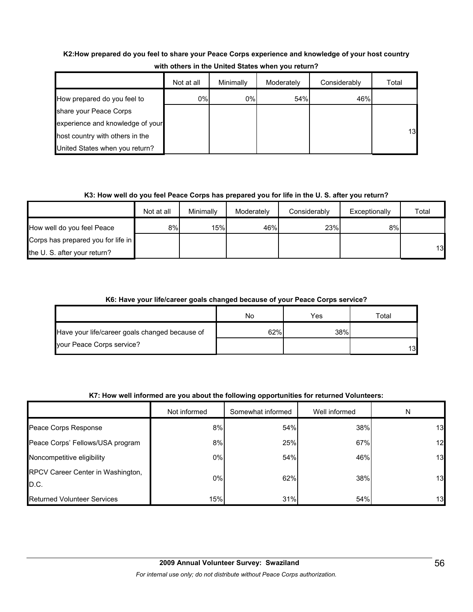# **K2:How prepared do you feel to share your Peace Corps experience and knowledge of your host country with others in the United States when you return?**

|                                  | Not at all | Minimally | Moderately | Considerably | Total |
|----------------------------------|------------|-----------|------------|--------------|-------|
| How prepared do you feel to      | 0%         | $0\%$     | 54%        | 46%          |       |
| share your Peace Corps           |            |           |            |              |       |
| experience and knowledge of your |            |           |            |              |       |
| host country with others in the  |            |           |            |              | 13    |
| United States when you return?   |            |           |            |              |       |

# **K3: How well do you feel Peace Corps has prepared you for life in the U. S. after you return?**

|                                    | Not at all | Minimally | Moderately | Considerably | Exceptionally | Total |
|------------------------------------|------------|-----------|------------|--------------|---------------|-------|
| How well do you feel Peace         | 8%         | 15%       | 46%        | 23%          | 8%            |       |
| Corps has prepared you for life in |            |           |            |              |               |       |
| the U.S. after your return?        |            |           |            |              |               | 13    |

# **K6: Have your life/career goals changed because of your Peace Corps service?**

|                                                | No  | Yes | Total |
|------------------------------------------------|-----|-----|-------|
| Have your life/career goals changed because of | 62% | 38% |       |
| your Peace Corps service?                      |     |     | 13    |

# **K7: How well informed are you about the following opportunities for returned Volunteers:**

|                                           | Not informed | Somewhat informed | Well informed | N  |
|-------------------------------------------|--------------|-------------------|---------------|----|
| Peace Corps Response                      | 8%           | 54%               | 38%           | 13 |
| Peace Corps' Fellows/USA program          | 8%           | 25%               | 67%           | 12 |
| Noncompetitive eligibility                | 0%           | 54%               | 46%           | 13 |
| RPCV Career Center in Washington,<br>D.C. | 0%           | 62%               | 38%           | 13 |
| <b>Returned Volunteer Services</b>        | 15%          | 31%               | 54%           | 13 |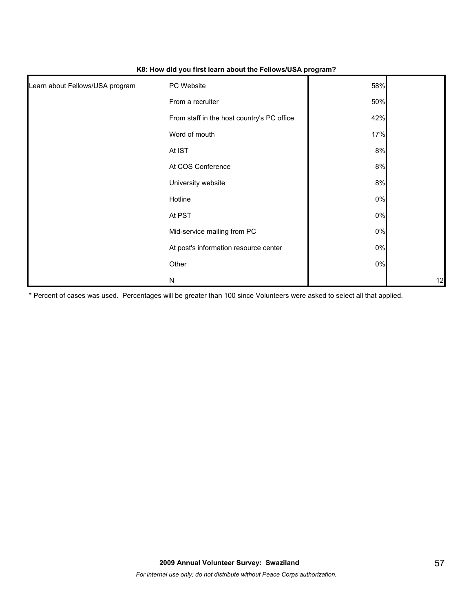| Learn about Fellows/USA program | PC Website                                 | 58%   |    |
|---------------------------------|--------------------------------------------|-------|----|
|                                 | From a recruiter                           | 50%   |    |
|                                 | From staff in the host country's PC office | 42%   |    |
|                                 | Word of mouth                              | 17%   |    |
|                                 | At IST                                     | 8%    |    |
|                                 | At COS Conference                          | 8%    |    |
|                                 | University website                         | 8%    |    |
|                                 | Hotline                                    | $0\%$ |    |
|                                 | At PST                                     | $0\%$ |    |
|                                 | Mid-service mailing from PC                | $0\%$ |    |
|                                 | At post's information resource center      | $0\%$ |    |
|                                 | Other                                      | $0\%$ |    |
|                                 | ${\sf N}$                                  |       | 12 |

#### **K8: How did you first learn about the Fellows/USA program?**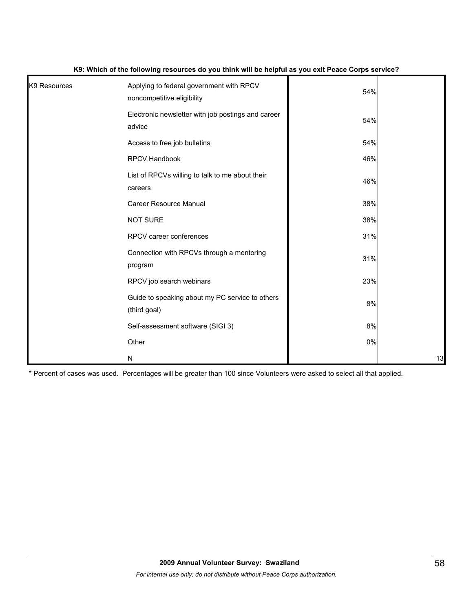| K <sub>9</sub> Resources | Applying to federal government with RPCV<br>noncompetitive eligibility | 54%   |    |
|--------------------------|------------------------------------------------------------------------|-------|----|
|                          | Electronic newsletter with job postings and career<br>advice           | 54%   |    |
|                          | Access to free job bulletins                                           | 54%   |    |
|                          | RPCV Handbook                                                          | 46%   |    |
|                          | List of RPCVs willing to talk to me about their<br>careers             | 46%   |    |
|                          | <b>Career Resource Manual</b>                                          | 38%   |    |
|                          | <b>NOT SURE</b>                                                        | 38%   |    |
|                          | RPCV career conferences                                                | 31%   |    |
|                          | Connection with RPCVs through a mentoring<br>program                   | 31%   |    |
|                          | RPCV job search webinars                                               | 23%   |    |
|                          | Guide to speaking about my PC service to others<br>(third goal)        | 8%    |    |
|                          | Self-assessment software (SIGI 3)                                      | 8%    |    |
|                          | Other                                                                  | $0\%$ |    |
|                          | N                                                                      |       | 13 |

#### **K9: Which of the following resources do you think will be helpful as you exit Peace Corps service?**